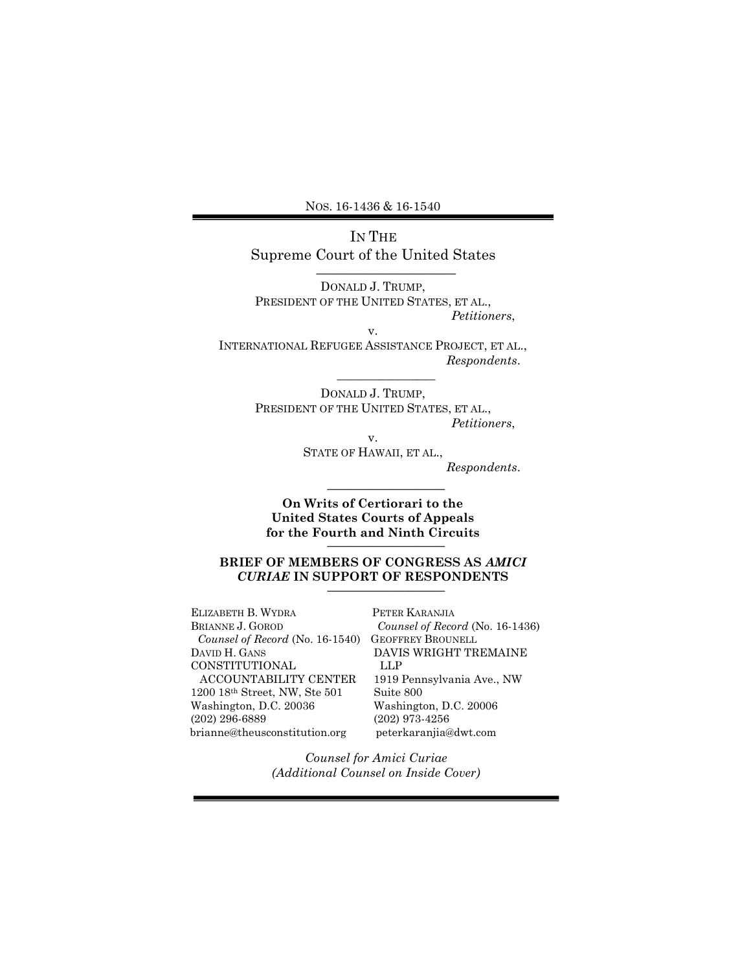NOS. 16-1436 & 16-1540

IN THE Supreme Court of the United States  $\overline{\phantom{a}}$  , where  $\overline{\phantom{a}}$  , where  $\overline{\phantom{a}}$ 

DONALD J. TRUMP, PRESIDENT OF THE UNITED STATES, ET AL., Petitioners,

v. INTERNATIONAL REFUGEE ASSISTANCE PROJECT, ET AL., Respondents.

> DONALD J. TRUMP, PRESIDENT OF THE UNITED STATES, ET AL., Petitioners,

 $\overline{\phantom{a}}$  , we can also the contract of  $\overline{\phantom{a}}$ 

v. STATE OF HAWAII, ET AL., Respondents.

 $\overline{\phantom{a}}$  , where  $\overline{\phantom{a}}$ 

On Writs of Certiorari to the United States Courts of Appeals for the Fourth and Ninth Circuits

# BRIEF OF MEMBERS OF CONGRESS AS AMICI CURIAE IN SUPPORT OF RESPONDENTS \_\_\_\_\_\_\_\_\_\_\_\_\_\_\_\_

ELIZABETH B. WYDRA BRIANNE J. GOROD Counsel of Record (No. 16-1540) GEOFFREY BROUNELL DAVID H. GANS CONSTITUTIONAL ACCOUNTABILITY CENTER 1200 18th Street, NW, Ste 501 Washington, D.C. 20036 (202) 296-6889 brianne@theusconstitution.org

PETER KARANJIA Counsel of Record (No. 16-1436) DAVIS WRIGHT TREMAINE LLP 1919 Pennsylvania Ave., NW Suite 800 Washington, D.C. 20006 (202) 973-4256 peterkaranjia@dwt.com

Counsel for Amici Curiae (Additional Counsel on Inside Cover)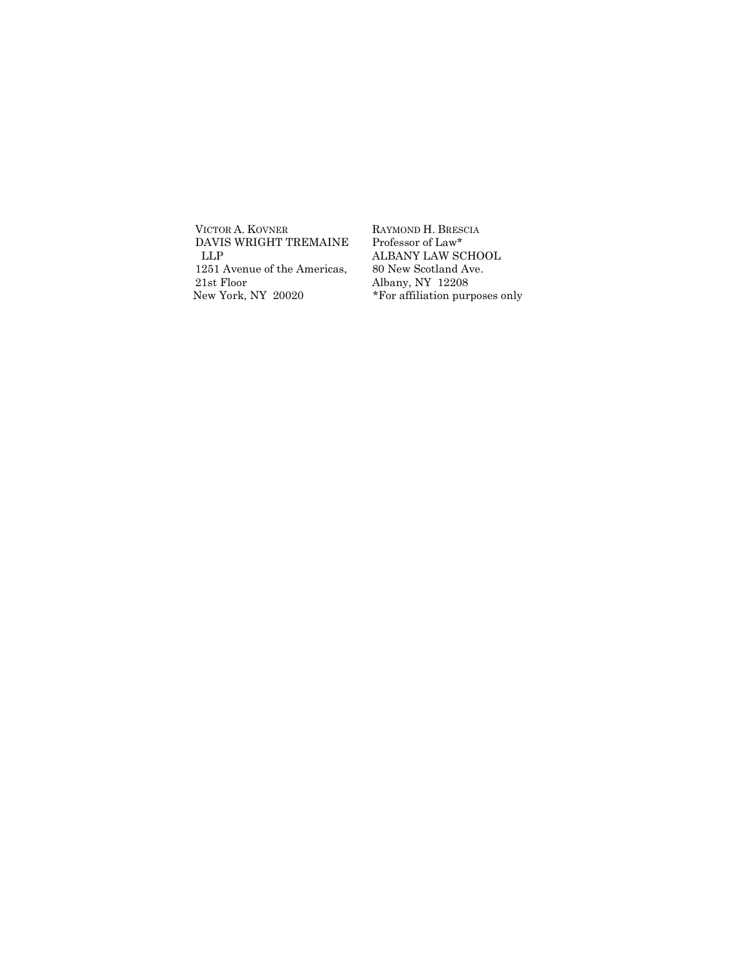VICTOR A. KOVNER DAVIS WRIGHT TREMAINE LLP 1251 Avenue of the Americas, 21st Floor New York, NY 20020

RAYMOND H. BRESCIA Professor of Law\* ALBANY LAW SCHOOL 80 New Scotland Ave. Albany, NY 12208 \*For affiliation purposes only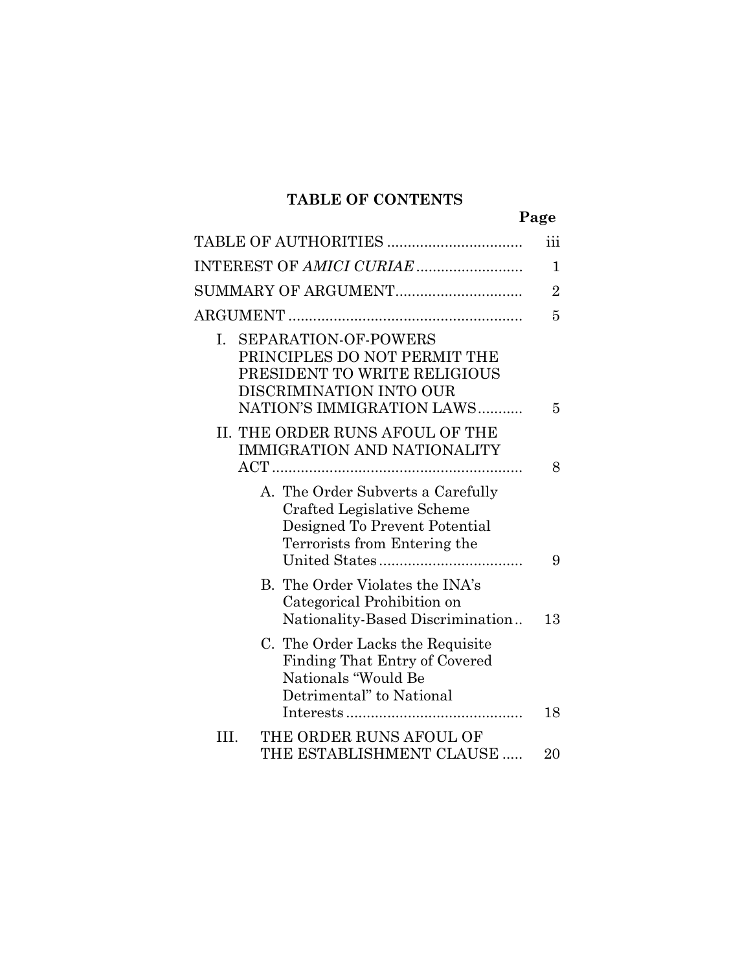# TABLE OF CONTENTS

| TABLE OF AUTHORITIES                                                                                                                                      | iii            |
|-----------------------------------------------------------------------------------------------------------------------------------------------------------|----------------|
|                                                                                                                                                           | $\mathbf 1$    |
| SUMMARY OF ARGUMENT                                                                                                                                       | $\overline{2}$ |
|                                                                                                                                                           | 5              |
| <b>SEPARATION-OF-POWERS</b><br>I.<br>PRINCIPLES DO NOT PERMIT THE<br>PRESIDENT TO WRITE RELIGIOUS<br>DISCRIMINATION INTO OUR<br>NATION'S IMMIGRATION LAWS |                |
| II. THE ORDER RUNS AFOUL OF THE<br>IMMIGRATION AND NATIONALITY                                                                                            | 5              |
|                                                                                                                                                           | 8              |
| A. The Order Subverts a Carefully<br>Crafted Legislative Scheme<br>Designed To Prevent Potential<br>Terrorists from Entering the                          | 9              |
| B. The Order Violates the INA's<br>Categorical Prohibition on<br>Nationality-Based Discrimination                                                         | 13             |
| C. The Order Lacks the Requisite<br>Finding That Entry of Covered<br>Nationals "Would Be<br>Detrimental" to National                                      | 18             |
| THE ORDER RUNS AFOUL OF<br>Ш.<br>THE ESTABLISHMENT CLAUSE                                                                                                 | 20             |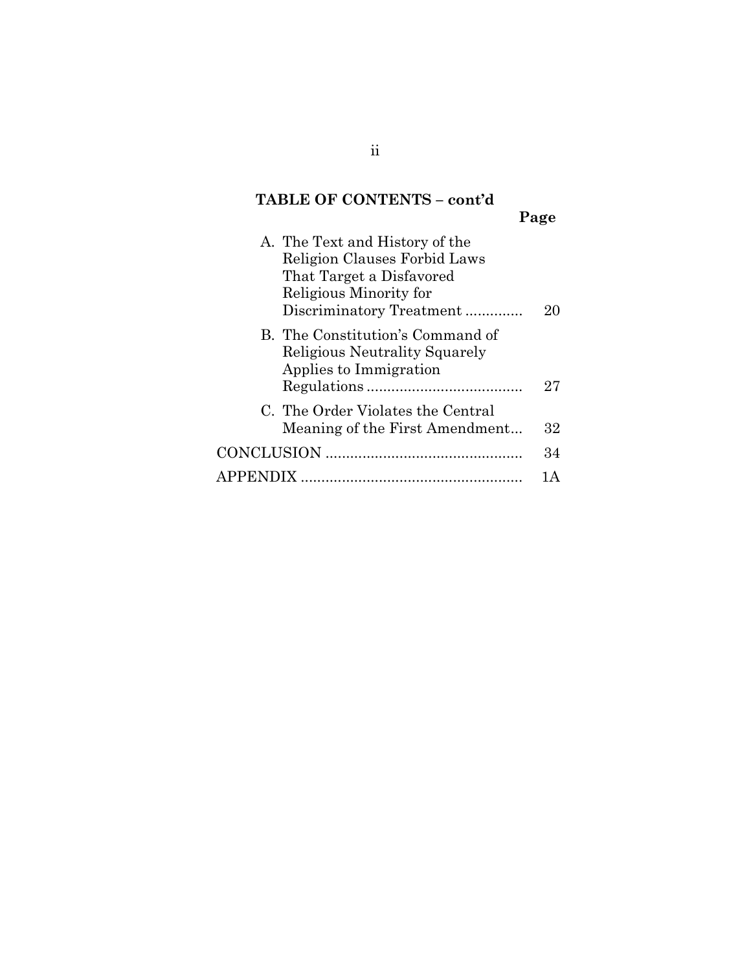# TABLE OF CONTENTS – cont'd

Page

| A. The Text and History of the<br>Religion Clauses Forbid Laws<br>That Target a Disfavored<br>Religious Minority for<br>Discriminatory Treatment |    |
|--------------------------------------------------------------------------------------------------------------------------------------------------|----|
| B. The Constitution's Command of<br><b>Religious Neutrality Squarely</b><br>Applies to Immigration                                               | 27 |
| C. The Order Violates the Central<br>Meaning of the First Amendment                                                                              | 32 |
|                                                                                                                                                  | 34 |
|                                                                                                                                                  |    |

ii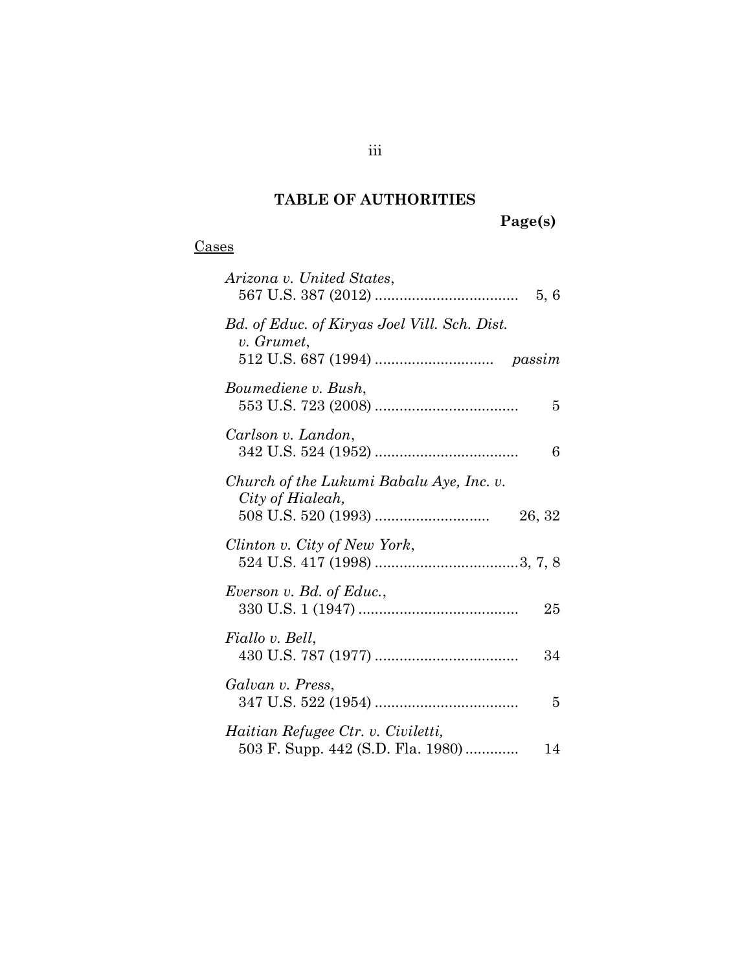# TABLE OF AUTHORITIES

Page(s)

| Vases |
|-------|
|-------|

| Arizona v. United States,                                                     |
|-------------------------------------------------------------------------------|
| Bd. of Educ. of Kiryas Joel Vill. Sch. Dist.<br>v. Grumet,                    |
| Boumediene v. Bush,<br>5                                                      |
| Carlson v. Landon,<br>6                                                       |
| Church of the Lukumi Babalu Aye, Inc. v.<br>City of Hialeah,<br>26, 32        |
| Clinton v. City of New York,                                                  |
| Everson v. Bd. of Educ.,<br>25                                                |
| Fiallo v. Bell,<br>34                                                         |
| Galvan v. Press,<br>5                                                         |
| Haitian Refugee Ctr. v. Civiletti,<br>503 F. Supp. 442 (S.D. Fla. 1980)<br>14 |

iii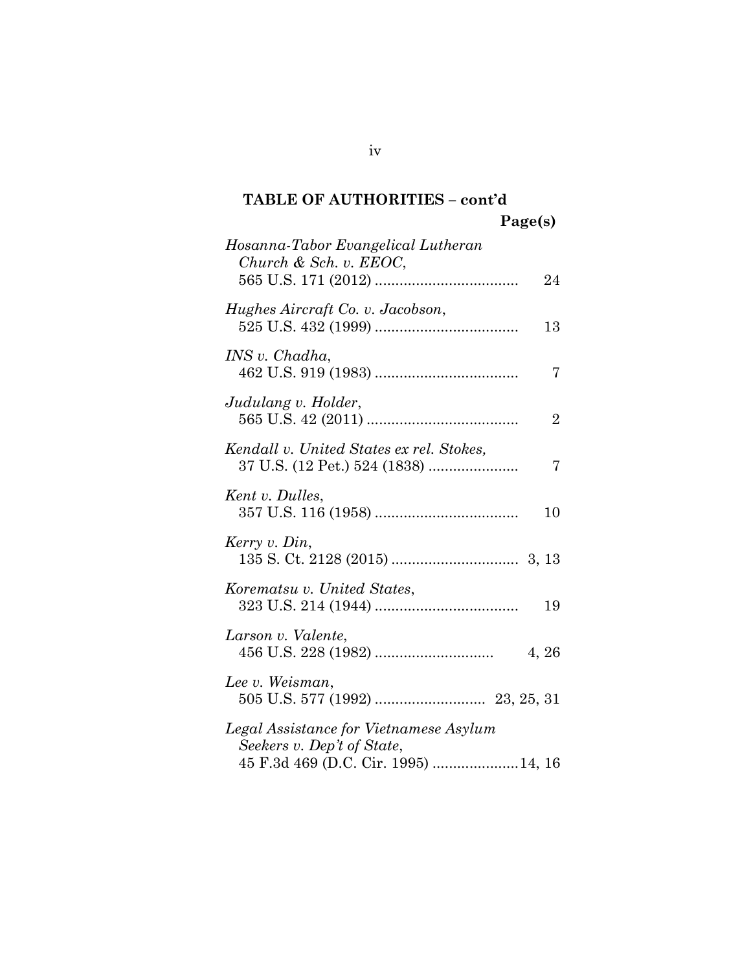Hosanna-Tabor Evangelical Lutheran Church & Sch. v. EEOC, 565 U.S. 171 (2012) ................................... 24 Hughes Aircraft Co. v. Jacobson, 525 U.S. 432 (1999) ................................... 13 INS v. Chadha, 462 U.S. 919 (1983) ................................... 7 Judulang v. Holder, 565 U.S. 42 (2011) ..................................... 2 Kendall v. United States ex rel. Stokes, 37 U.S. (12 Pet.) 524 (1838) ...................... 7 Kent v. Dulles, 357 U.S. 116 (1958) ................................... 10 Kerry v. Din, 135 S. Ct. 2128 (2015) ............................... 3, 13 Korematsu v. United States, 323 U.S. 214 (1944) ................................... 19 Larson v. Valente, 456 U.S. 228 (1982) ............................. 4, 26 Lee v. Weisman, 505 U.S. 577 (1992) ........................... 23, 25, 31 Legal Assistance for Vietnamese Asylum Seekers v. Dep't of State, 45 F.3d 469 (D.C. Cir. 1995) ..................... 14, 16

iv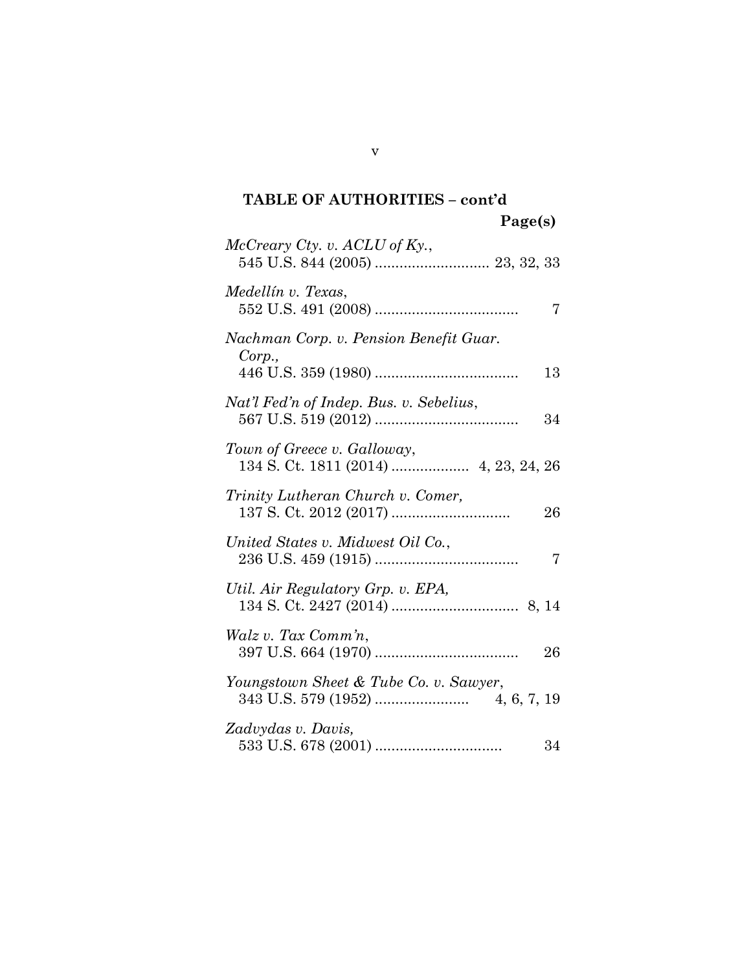| $McCreary\;Cty.$ v. $ACLU$ of Ky.,                     |
|--------------------------------------------------------|
| Medellín v. Texas,<br>7                                |
| Nachman Corp. v. Pension Benefit Guar.<br>Corp.,<br>13 |
| Nat'l Fed'n of Indep. Bus. v. Sebelius,<br>34          |
| Town of Greece v. Galloway,                            |
| Trinity Lutheran Church v. Comer,<br>26                |
| United States v. Midwest Oil Co.,<br>7                 |
| Util. Air Regulatory Grp. v. EPA,                      |
| Walz v. Tax Comm'n,<br>26                              |
| Youngstown Sheet & Tube Co. v. Sawyer,                 |
| Zadvydas v. Davis,<br>34                               |

v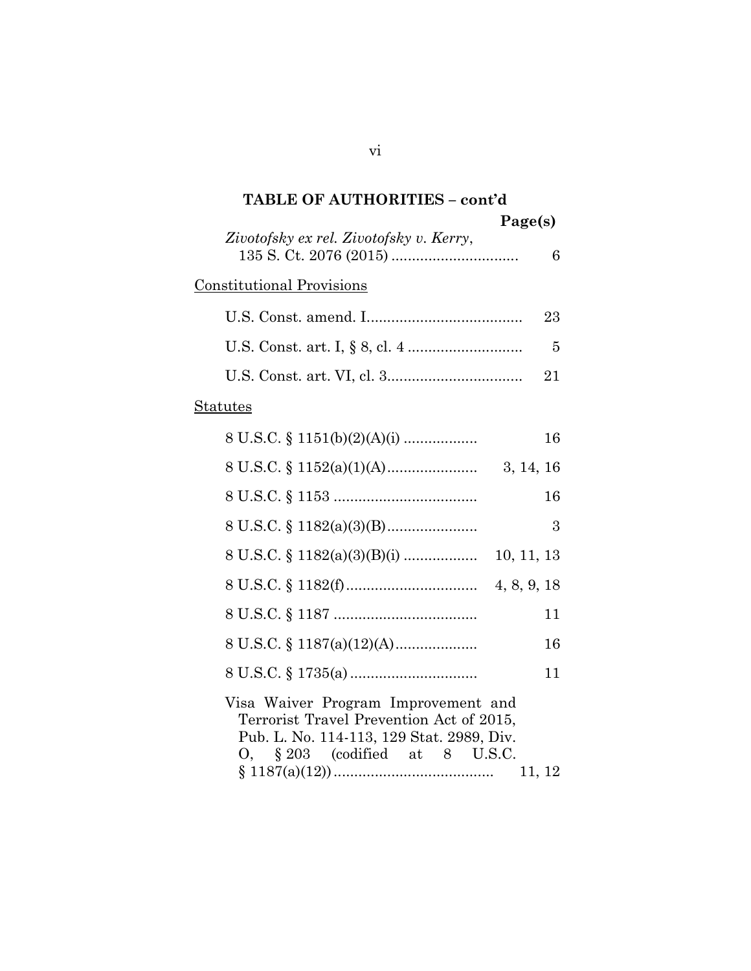| <b>TABLE OF AUTHORITIES - cont'd</b>                                                                                                                                        |
|-----------------------------------------------------------------------------------------------------------------------------------------------------------------------------|
| Page(s)                                                                                                                                                                     |
| Zivotofsky ex rel. Zivotofsky v. Kerry,<br>6                                                                                                                                |
| <b>Constitutional Provisions</b>                                                                                                                                            |
| 23                                                                                                                                                                          |
| 5                                                                                                                                                                           |
| 21                                                                                                                                                                          |
| <b>Statutes</b>                                                                                                                                                             |
| 8 U.S.C. $\S$ 1151(b)(2)(A)(i)<br>16                                                                                                                                        |
|                                                                                                                                                                             |
| 16                                                                                                                                                                          |
| 3                                                                                                                                                                           |
| $8 \text{ U.S.C.} \S 1182(a)(3)(B)(i) \dots$<br>10, 11, 13                                                                                                                  |
|                                                                                                                                                                             |
| 11                                                                                                                                                                          |
| 16                                                                                                                                                                          |
| 11                                                                                                                                                                          |
| Visa Waiver Program Improvement and<br>Terrorist Travel Prevention Act of 2015,<br>Pub. L. No. 114-113, 129 Stat. 2989, Div.<br>$0, \S 203$ (codified at 8 U.S.C.<br>11, 12 |

# vi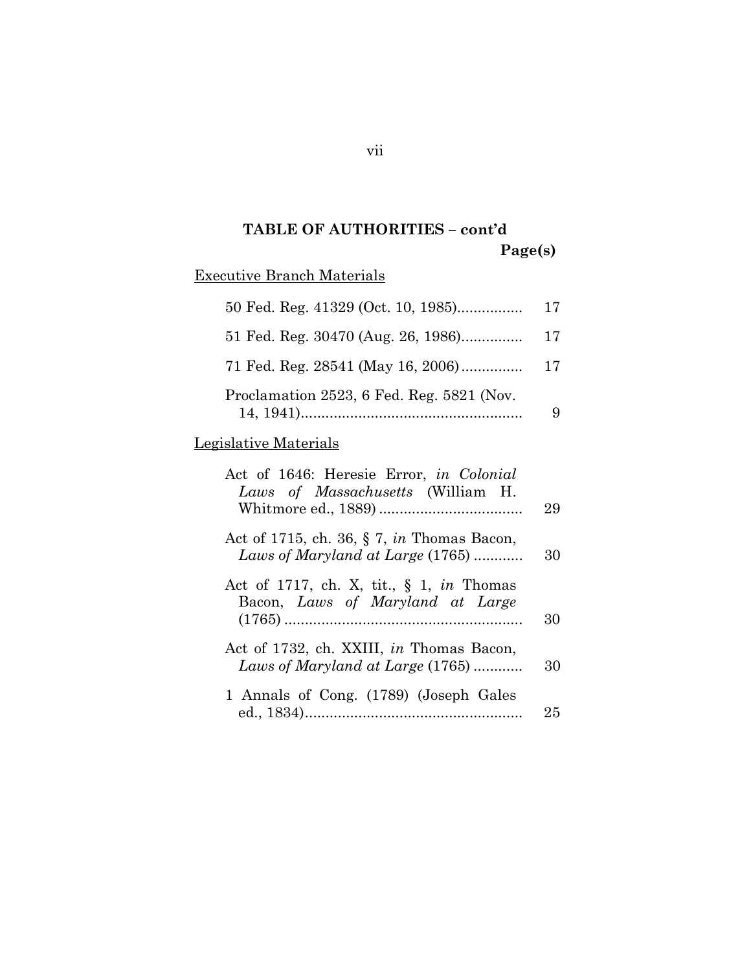# Executive Branch Materials

| 50 Fed. Reg. 41329 (Oct. 10, 1985)        | 17 |
|-------------------------------------------|----|
| 51 Fed. Reg. 30470 (Aug. 26, 1986)        | 17 |
| 71 Fed. Reg. 28541 (May 16, 2006)         | 17 |
| Proclamation 2523, 6 Fed. Reg. 5821 (Nov. |    |

# Legislative Materials

| Act of 1646: Heresie Error, in Colonial<br>Laws of Massachusetts (William H.        | 29 |
|-------------------------------------------------------------------------------------|----|
| Act of 1715, ch. 36, $\S$ 7, in Thomas Bacon,<br>Laws of Maryland at Large (1765)   | 30 |
| Act of 1717, ch. X, tit., $\S$ 1, in Thomas<br>Bacon, Laws of Maryland at Large     | 30 |
| Act of 1732, ch. XXIII, <i>in</i> Thomas Bacon,<br>Laws of Maryland at Large (1765) | 30 |
| 1 Annals of Cong. (1789) (Joseph Gales                                              | 25 |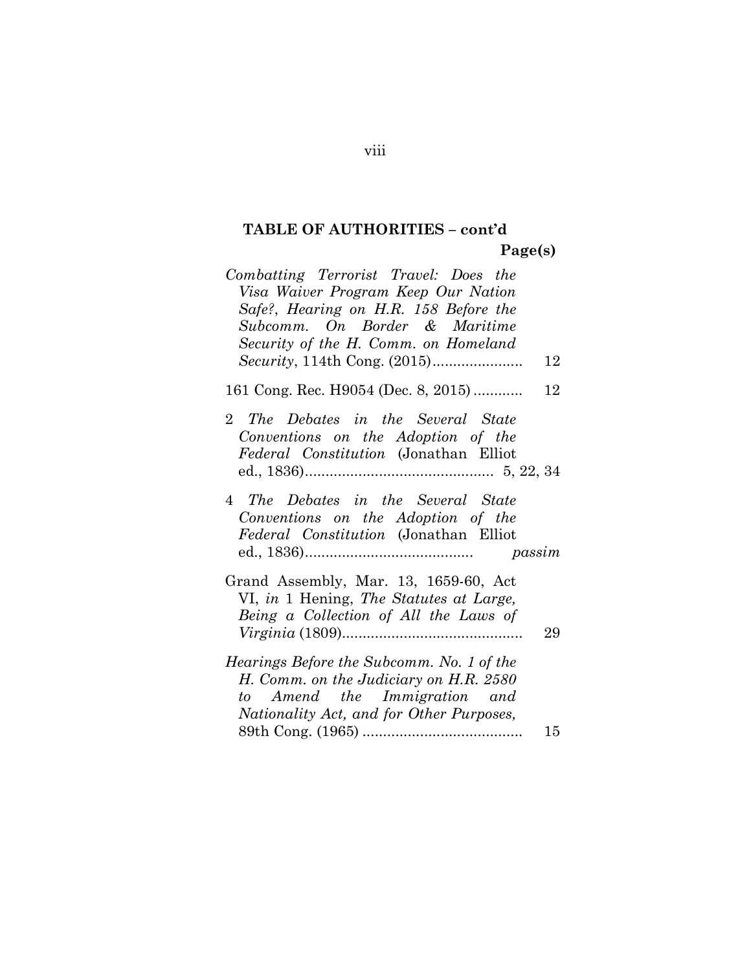| Combatting Terrorist Travel: Does the                                               |    |
|-------------------------------------------------------------------------------------|----|
| Visa Waiver Program Keep Our Nation                                                 |    |
| Safe?, Hearing on H.R. 158 Before the                                               |    |
| Subcomm. On Border & Maritime                                                       |    |
| Security of the H. Comm. on Homeland                                                |    |
|                                                                                     | 12 |
| 161 Cong. Rec. H9054 (Dec. 8, 2015)                                                 | 12 |
| 2 The Debates in the Several State                                                  |    |
| Conventions on the Adoption of the                                                  |    |
| Federal Constitution (Jonathan Elliot                                               |    |
|                                                                                     |    |
| 4 The Debates in the Several State                                                  |    |
| Conventions on the Adoption of the                                                  |    |
| Federal Constitution (Jonathan Elliot                                               |    |
|                                                                                     |    |
| Grand Assembly, Mar. 13, 1659-60, Act                                               |    |
| VI, in 1 Hening, The Statutes at Large,                                             |    |
| Being a Collection of All the Laws of                                               |    |
|                                                                                     | 29 |
|                                                                                     |    |
| Hearings Before the Subcomm. No. 1 of the<br>H. Comm. on the Judiciary on H.R. 2580 |    |
| to Amend the Immigration and                                                        |    |
| Nationality Act, and for Other Purposes,                                            |    |
|                                                                                     | 15 |
|                                                                                     |    |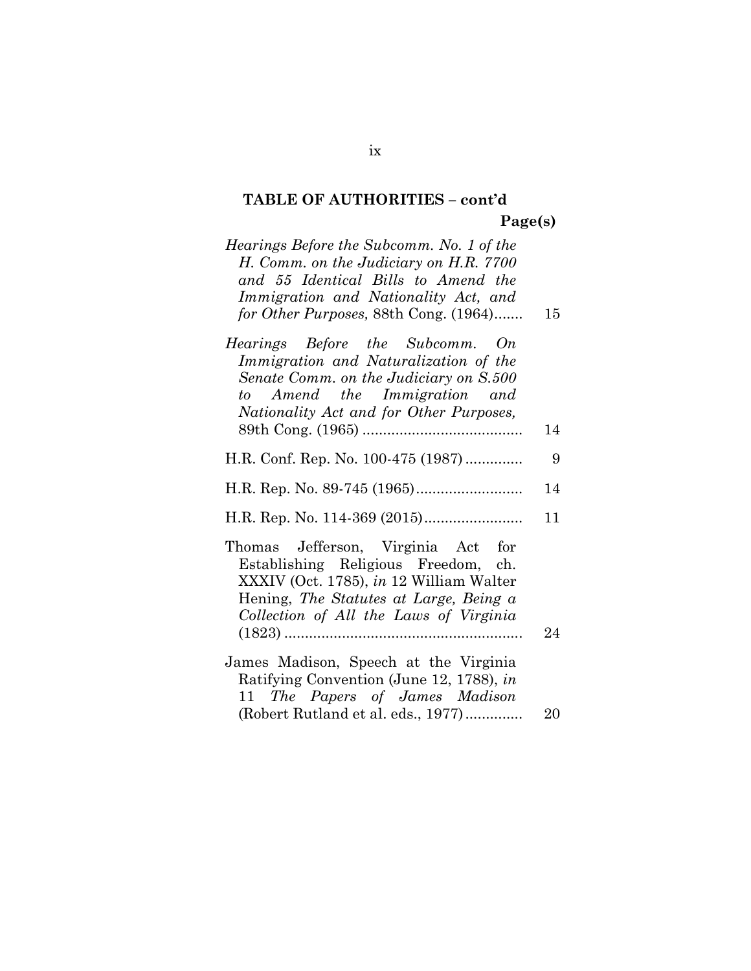| Hearings Before the Subcomm. No. 1 of the<br>H. Comm. on the Judiciary on H.R. 7700<br>and 55 Identical Bills to Amend the<br>Immigration and Nationality Act, and<br>for Other Purposes, 88th Cong. (1964) | 15 |
|-------------------------------------------------------------------------------------------------------------------------------------------------------------------------------------------------------------|----|
| Hearings Before the Subcomm. On<br>Immigration and Naturalization of the<br>Senate Comm. on the Judiciary on S.500<br>to Amend the Immigration and<br>Nationality Act and for Other Purposes,               | 14 |
| H.R. Conf. Rep. No. 100-475 (1987)                                                                                                                                                                          | 9  |
|                                                                                                                                                                                                             | 14 |
|                                                                                                                                                                                                             | 11 |
| Thomas Jefferson, Virginia Act for<br>Establishing Religious Freedom, ch.<br>XXXIV (Oct. 1785), in 12 William Walter<br>Hening, The Statutes at Large, Being a<br>Collection of All the Laws of Virginia    | 24 |
|                                                                                                                                                                                                             |    |
| James Madison, Speech at the Virginia<br>Ratifying Convention (June 12, 1788), in                                                                                                                           |    |
| 11 The Papers of James Madison<br>(Robert Rutland et al. eds., 1977)                                                                                                                                        | 20 |
|                                                                                                                                                                                                             |    |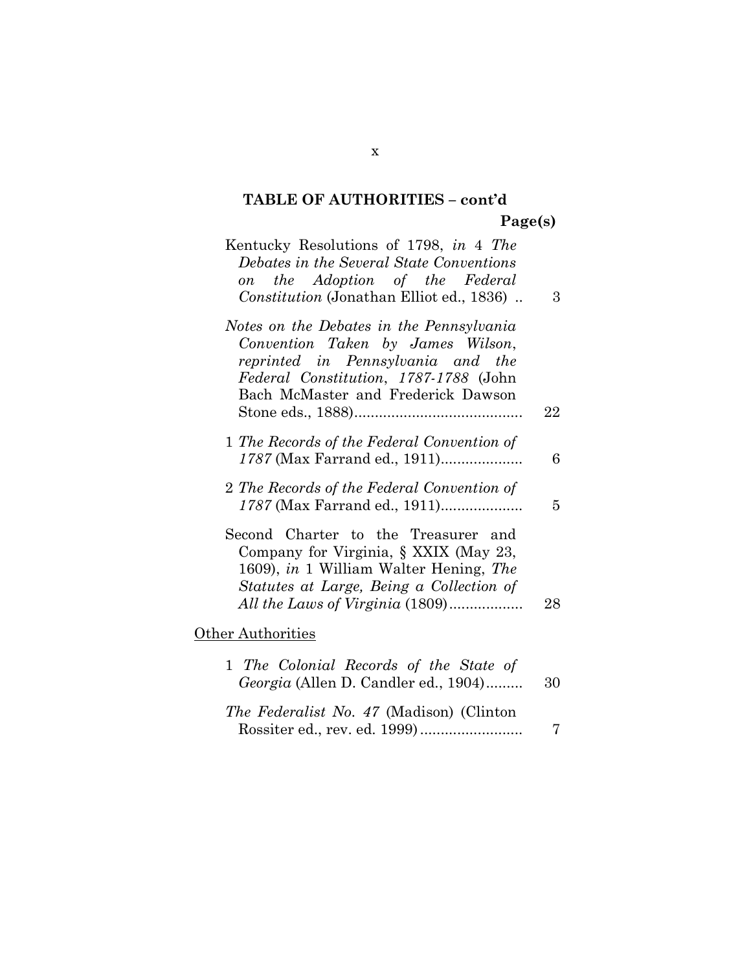| Kentucky Resolutions of 1798, in 4 The<br>Debates in the Several State Conventions<br>the Adoption of the Federal<br>$\overline{on}$<br>Constitution (Jonathan Elliot ed., 1836)                      | 3  |
|-------------------------------------------------------------------------------------------------------------------------------------------------------------------------------------------------------|----|
| Notes on the Debates in the Pennsylvania<br>Convention Taken by James Wilson,<br>reprinted in Pennsylvania and the<br>Federal Constitution, 1787-1788 (John<br>Bach McMaster and Frederick Dawson     | 22 |
| 1 The Records of the Federal Convention of<br>1787 (Max Farrand ed., 1911)                                                                                                                            | 6  |
| 2 The Records of the Federal Convention of<br>1787 (Max Farrand ed., 1911)                                                                                                                            | 5  |
| Second Charter to the Treasurer and<br>Company for Virginia, § XXIX (May 23,<br>1609), in 1 William Walter Hening, The<br>Statutes at Large, Being a Collection of<br>All the Laws of Virginia (1809) | 28 |
| <b>Other Authorities</b>                                                                                                                                                                              |    |
| 1 The Colonial Records of the State of<br>Georgia (Allen D. Candler ed., 1904)                                                                                                                        | 30 |
| The Federalist No. 47 (Madison) (Clinton                                                                                                                                                              | 7  |

x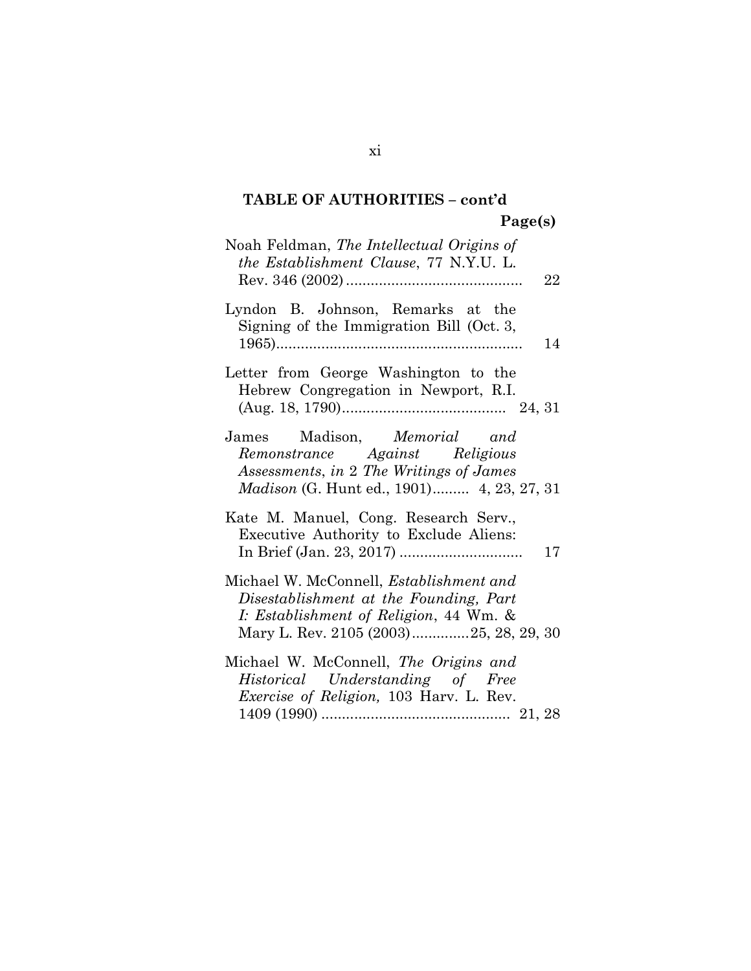| Noah Feldman, The Intellectual Origins of<br><i>the Establishment Clause</i> , 77 N.Y.U. L.<br>22                                                                            |
|------------------------------------------------------------------------------------------------------------------------------------------------------------------------------|
| Lyndon B. Johnson, Remarks at the<br>Signing of the Immigration Bill (Oct. 3,<br>14                                                                                          |
| Letter from George Washington to the<br>Hebrew Congregation in Newport, R.I.                                                                                                 |
| James Madison, Memorial and<br>Remonstrance Against Religious<br>Assessments, in 2 The Writings of James<br><i>Madison</i> (G. Hunt ed., 1901) 4, 23, 27, 31                 |
| Kate M. Manuel, Cong. Research Serv.,<br>Executive Authority to Exclude Aliens:<br>17                                                                                        |
| Michael W. McConnell, <i>Establishment and</i><br>Disestablishment at the Founding, Part<br>I: Establishment of Religion, 44 Wm. &<br>Mary L. Rev. 2105 (2003)25, 28, 29, 30 |
| Michael W. McConnell, The Origins and<br>Historical Understanding of Free<br><i>Exercise of Religion</i> , 103 Harv. L. Rev.                                                 |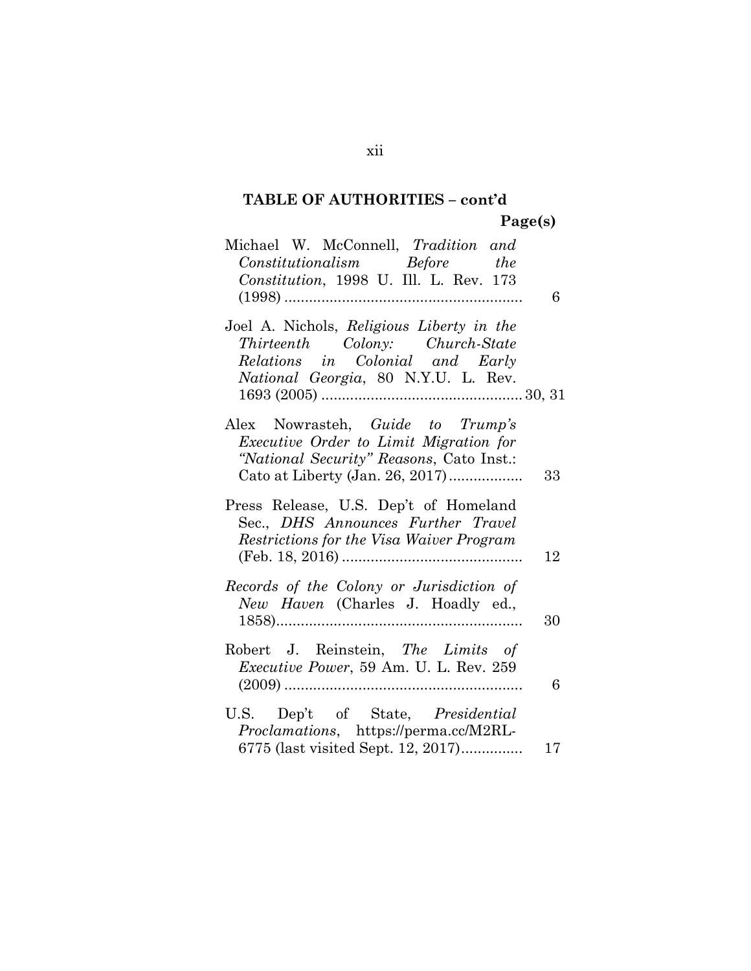# TABLE OF AUTHORITIES – cont'd

Page(s)

| Michael W. McConnell, Tradition and<br>$\label{eq:constitutionalism} Constantionalism \qquad \textit{Before} \qquad \textit{the}$<br>Constitution, 1998 U. Ill. L. Rev. 173 |    |
|-----------------------------------------------------------------------------------------------------------------------------------------------------------------------------|----|
|                                                                                                                                                                             | 6  |
| Joel A. Nichols, Religious Liberty in the<br>Thirteenth Colony: Church-State<br>Relations in Colonial and Early<br><i>National Georgia</i> , 80 N.Y.U. L. Rev.              |    |
| Alex Nowrasteh, <i>Guide to Trump's</i><br>Executive Order to Limit Migration for<br>"National Security" Reasons, Cato Inst.:<br>Cato at Liberty (Jan. 26, 2017)            | 33 |
| Press Release, U.S. Dep't of Homeland<br>Sec., DHS Announces Further Travel<br>Restrictions for the Visa Waiver Program                                                     | 12 |
| Records of the Colony or Jurisdiction of<br>New Haven (Charles J. Hoadly ed.,                                                                                               | 30 |
| Robert J. Reinstein, The Limits of<br><i>Executive Power</i> , 59 Am. U. L. Rev. 259                                                                                        | 6  |
| U.S. Dep't of State, <i>Presidential</i><br>Proclamations, https://perma.cc/M2RL-<br>6775 (last visited Sept. 12, 2017)                                                     | 17 |

xii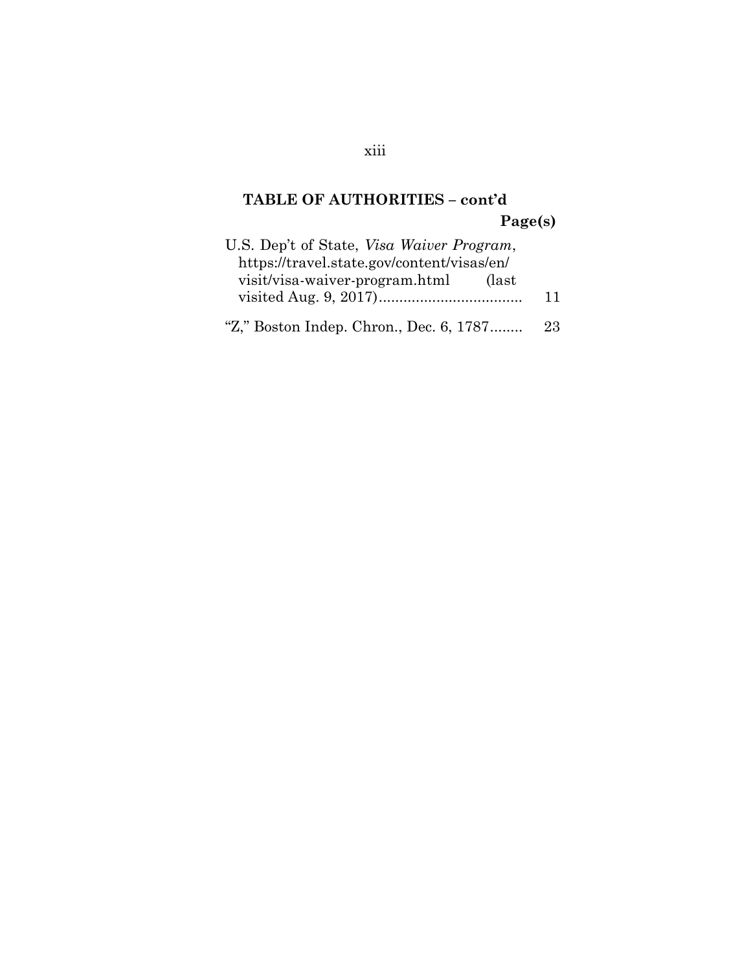| U.S. Dep't of State, Visa Waiver Program,  |    |
|--------------------------------------------|----|
| https://travel.state.gov/content/visas/en/ |    |
| visit/visa-waiver-program.html<br>(last)   |    |
|                                            | 11 |
|                                            |    |
| "Z," Boston Indep. Chron., Dec. 6, 1787    | 23 |

# xiii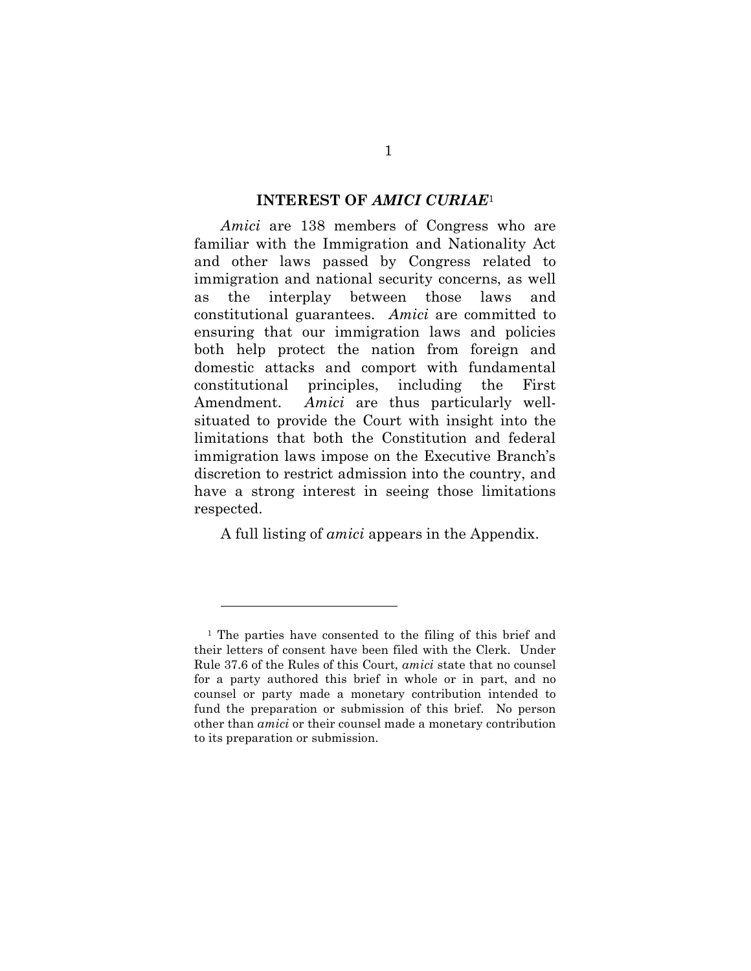#### INTEREST OF AMICI CURIAE<sup>1</sup>

Amici are 138 members of Congress who are familiar with the Immigration and Nationality Act and other laws passed by Congress related to immigration and national security concerns, as well as the interplay between those laws and constitutional guarantees. Amici are committed to ensuring that our immigration laws and policies both help protect the nation from foreign and domestic attacks and comport with fundamental constitutional principles, including the First Amendment. Amici are thus particularly wellsituated to provide the Court with insight into the limitations that both the Constitution and federal immigration laws impose on the Executive Branch's discretion to restrict admission into the country, and have a strong interest in seeing those limitations respected.

A full listing of amici appears in the Appendix.

 $\overline{a}$ 

<sup>1</sup> The parties have consented to the filing of this brief and their letters of consent have been filed with the Clerk. Under Rule 37.6 of the Rules of this Court, amici state that no counsel for a party authored this brief in whole or in part, and no counsel or party made a monetary contribution intended to fund the preparation or submission of this brief. No person other than amici or their counsel made a monetary contribution to its preparation or submission.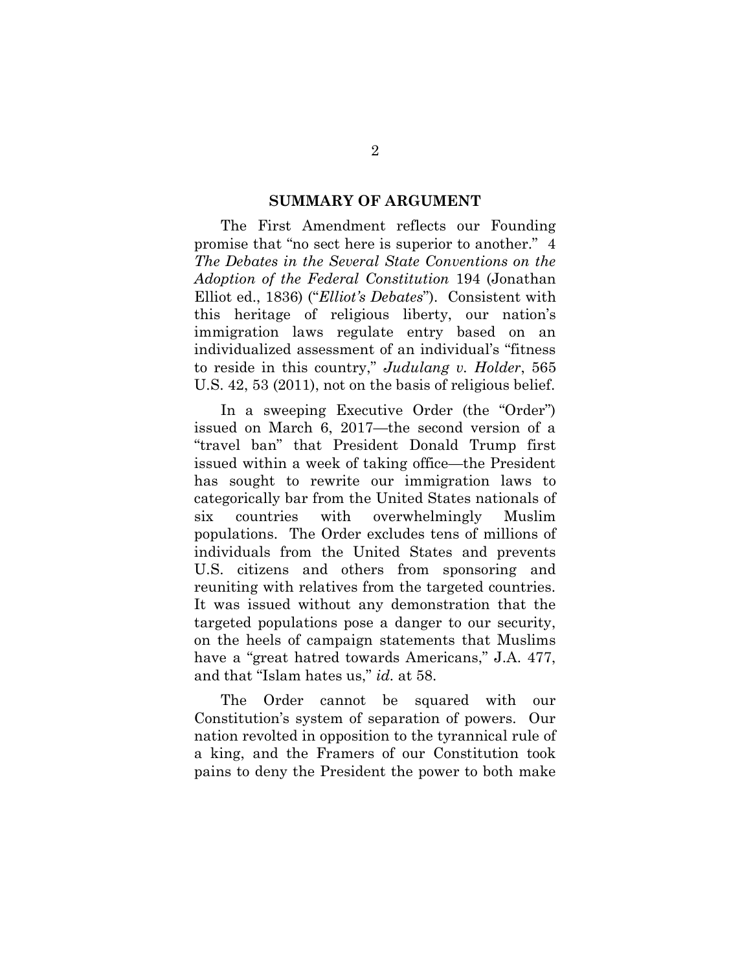#### SUMMARY OF ARGUMENT

The First Amendment reflects our Founding promise that "no sect here is superior to another." 4 The Debates in the Several State Conventions on the Adoption of the Federal Constitution 194 (Jonathan Elliot ed., 1836) ("Elliot's Debates"). Consistent with this heritage of religious liberty, our nation's immigration laws regulate entry based on an individualized assessment of an individual's "fitness to reside in this country," Judulang v. Holder, 565 U.S. 42, 53 (2011), not on the basis of religious belief.

In a sweeping Executive Order (the "Order") issued on March 6, 2017—the second version of a "travel ban" that President Donald Trump first issued within a week of taking office—the President has sought to rewrite our immigration laws to categorically bar from the United States nationals of six countries with overwhelmingly Muslim populations. The Order excludes tens of millions of individuals from the United States and prevents U.S. citizens and others from sponsoring and reuniting with relatives from the targeted countries. It was issued without any demonstration that the targeted populations pose a danger to our security, on the heels of campaign statements that Muslims have a "great hatred towards Americans," J.A. 477, and that "Islam hates us," id. at 58.

The Order cannot be squared with our Constitution's system of separation of powers. Our nation revolted in opposition to the tyrannical rule of a king, and the Framers of our Constitution took pains to deny the President the power to both make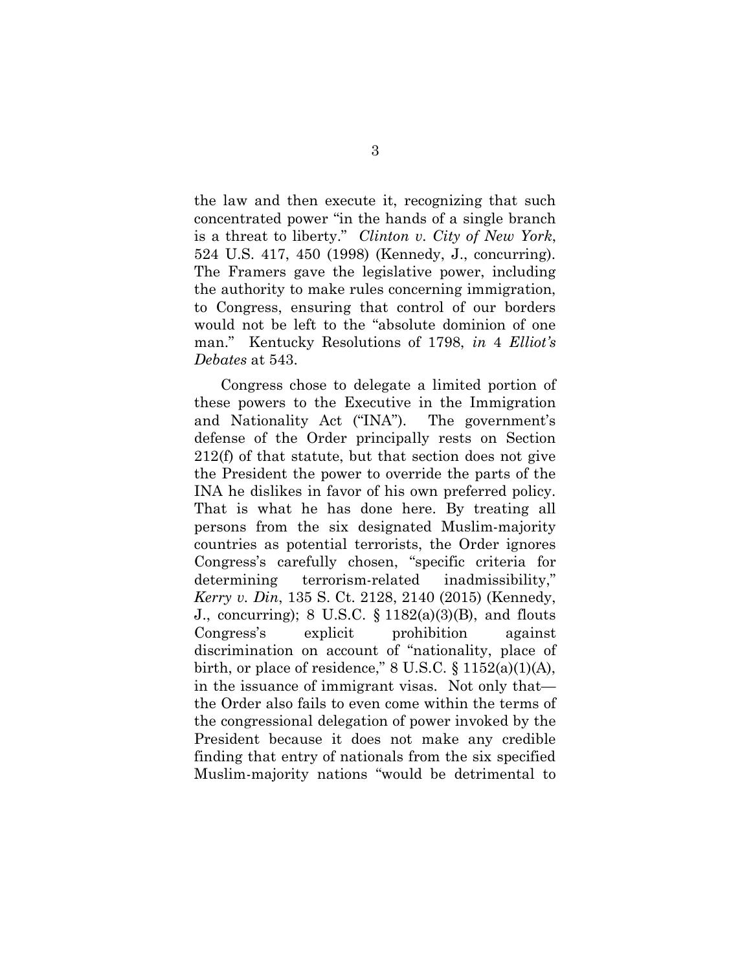the law and then execute it, recognizing that such concentrated power "in the hands of a single branch is a threat to liberty." Clinton v. City of New York, 524 U.S. 417, 450 (1998) (Kennedy, J., concurring). The Framers gave the legislative power, including the authority to make rules concerning immigration, to Congress, ensuring that control of our borders would not be left to the "absolute dominion of one man." Kentucky Resolutions of 1798, in 4 Elliot's Debates at 543.

Congress chose to delegate a limited portion of these powers to the Executive in the Immigration and Nationality Act ("INA"). The government's defense of the Order principally rests on Section 212(f) of that statute, but that section does not give the President the power to override the parts of the INA he dislikes in favor of his own preferred policy. That is what he has done here. By treating all persons from the six designated Muslim-majority countries as potential terrorists, the Order ignores Congress's carefully chosen, "specific criteria for determining terrorism-related inadmissibility," Kerry v. Din, 135 S. Ct. 2128, 2140 (2015) (Kennedy, J., concurring); 8 U.S.C.  $\S 1182(a)(3)(B)$ , and flouts Congress's explicit prohibition against discrimination on account of "nationality, place of birth, or place of residence,"  $8 \text{ U.S.C.} \$  $1152(a)(1)(\text{A})$ , in the issuance of immigrant visas. Not only that the Order also fails to even come within the terms of the congressional delegation of power invoked by the President because it does not make any credible finding that entry of nationals from the six specified Muslim-majority nations "would be detrimental to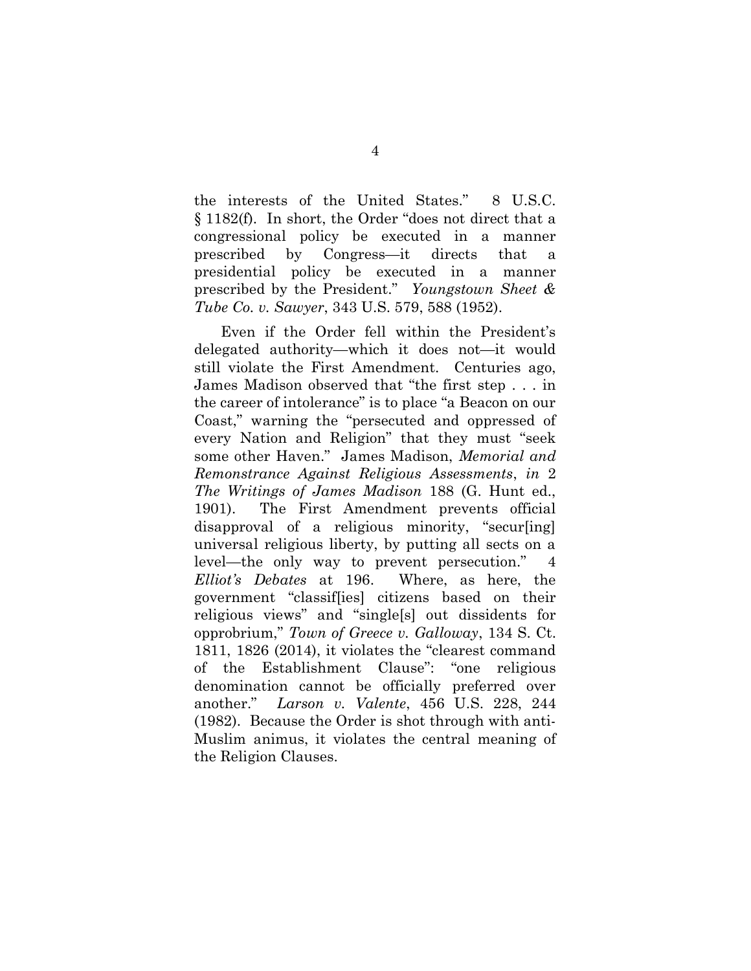the interests of the United States." 8 U.S.C. § 1182(f). In short, the Order "does not direct that a congressional policy be executed in a manner prescribed by Congress—it directs that a presidential policy be executed in a manner prescribed by the President." Youngstown Sheet & Tube Co. v. Sawyer, 343 U.S. 579, 588 (1952).

Even if the Order fell within the President's delegated authority—which it does not—it would still violate the First Amendment. Centuries ago, James Madison observed that "the first step . . . in the career of intolerance" is to place "a Beacon on our Coast," warning the "persecuted and oppressed of every Nation and Religion" that they must "seek some other Haven." James Madison, Memorial and Remonstrance Against Religious Assessments, in 2 The Writings of James Madison 188 (G. Hunt ed., 1901). The First Amendment prevents official disapproval of a religious minority, "secur[ing] universal religious liberty, by putting all sects on a level—the only way to prevent persecution." Elliot's Debates at 196. Where, as here, the government "classif[ies] citizens based on their religious views" and "single[s] out dissidents for opprobrium," Town of Greece v. Galloway, 134 S. Ct. 1811, 1826 (2014), it violates the "clearest command of the Establishment Clause": "one religious denomination cannot be officially preferred over another." Larson v. Valente, 456 U.S. 228, 244 (1982). Because the Order is shot through with anti-Muslim animus, it violates the central meaning of the Religion Clauses.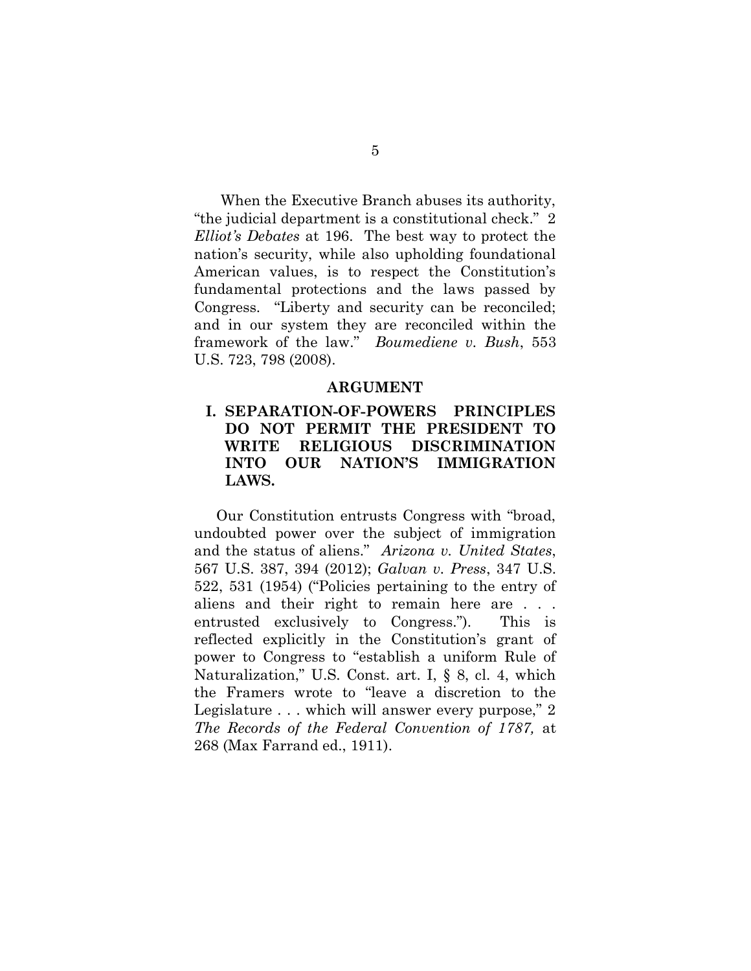When the Executive Branch abuses its authority, "the judicial department is a constitutional check." 2 Elliot's Debates at 196. The best way to protect the nation's security, while also upholding foundational American values, is to respect the Constitution's fundamental protections and the laws passed by Congress. "Liberty and security can be reconciled; and in our system they are reconciled within the framework of the law." Boumediene v. Bush, 553 U.S. 723, 798 (2008).

#### ARGUMENT

## I. SEPARATION-OF-POWERS PRINCIPLES DO NOT PERMIT THE PRESIDENT TO WRITE RELIGIOUS DISCRIMINATION INTO OUR NATION'S IMMIGRATION LAWS.

Our Constitution entrusts Congress with "broad, undoubted power over the subject of immigration and the status of aliens." Arizona v. United States, 567 U.S. 387, 394 (2012); Galvan v. Press, 347 U.S. 522, 531 (1954) ("Policies pertaining to the entry of aliens and their right to remain here are . . . entrusted exclusively to Congress."). This is reflected explicitly in the Constitution's grant of power to Congress to "establish a uniform Rule of Naturalization," U.S. Const. art. I, § 8, cl. 4, which the Framers wrote to "leave a discretion to the Legislature . . . which will answer every purpose," 2 The Records of the Federal Convention of 1787, at 268 (Max Farrand ed., 1911).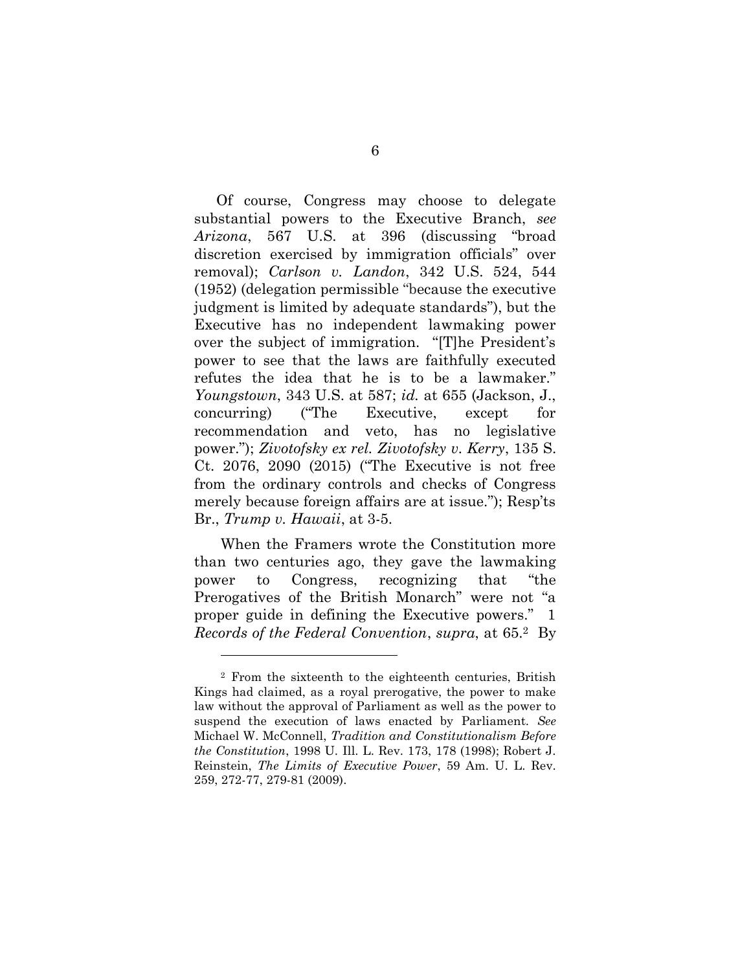Of course, Congress may choose to delegate substantial powers to the Executive Branch, see Arizona, 567 U.S. at 396 (discussing "broad discretion exercised by immigration officials" over removal); Carlson v. Landon, 342 U.S. 524, 544 (1952) (delegation permissible "because the executive judgment is limited by adequate standards"), but the Executive has no independent lawmaking power over the subject of immigration. "[T]he President's power to see that the laws are faithfully executed refutes the idea that he is to be a lawmaker." Youngstown, 343 U.S. at 587; id. at 655 (Jackson, J., concurring) ("The Executive, except for recommendation and veto, has no legislative power."); Zivotofsky ex rel. Zivotofsky v. Kerry, 135 S. Ct. 2076, 2090 (2015) ("The Executive is not free from the ordinary controls and checks of Congress merely because foreign affairs are at issue."); Resp'ts Br., Trump v. Hawaii, at 3-5.

When the Framers wrote the Constitution more than two centuries ago, they gave the lawmaking power to Congress, recognizing that "the Prerogatives of the British Monarch" were not "a proper guide in defining the Executive powers." 1 Records of the Federal Convention, supra, at 65.2 By

 $\overline{a}$ 

<sup>2</sup> From the sixteenth to the eighteenth centuries, British Kings had claimed, as a royal prerogative, the power to make law without the approval of Parliament as well as the power to suspend the execution of laws enacted by Parliament. See Michael W. McConnell, Tradition and Constitutionalism Before the Constitution, 1998 U. Ill. L. Rev. 173, 178 (1998); Robert J. Reinstein, The Limits of Executive Power, 59 Am. U. L. Rev. 259, 272-77, 279-81 (2009).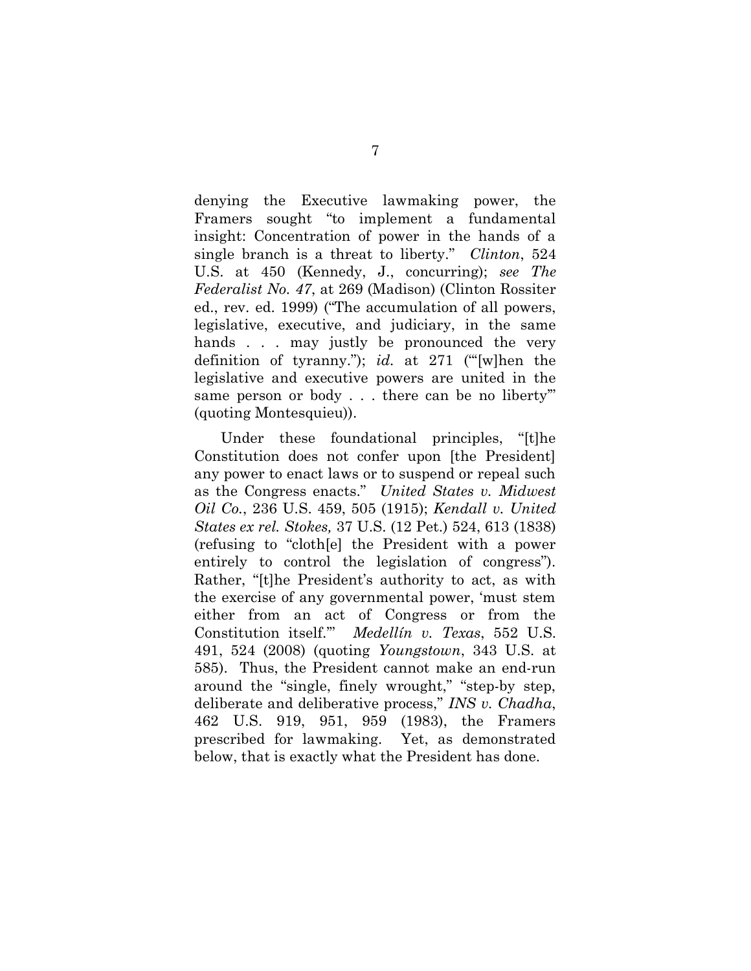denying the Executive lawmaking power, the Framers sought "to implement a fundamental insight: Concentration of power in the hands of a single branch is a threat to liberty." *Clinton*, 524 U.S. at 450 (Kennedy, J., concurring); see The Federalist No. 47, at 269 (Madison) (Clinton Rossiter ed., rev. ed. 1999) ("The accumulation of all powers, legislative, executive, and judiciary, in the same hands . . . may justly be pronounced the very definition of tyranny."); id. at 271 ("[w]hen the legislative and executive powers are united in the same person or body . . . there can be no liberty'" (quoting Montesquieu)).

Under these foundational principles, "[t]he Constitution does not confer upon [the President] any power to enact laws or to suspend or repeal such as the Congress enacts." United States v. Midwest Oil Co., 236 U.S. 459, 505 (1915); Kendall v. United States ex rel. Stokes, 37 U.S. (12 Pet.) 524, 613 (1838) (refusing to "cloth[e] the President with a power entirely to control the legislation of congress"). Rather, "[t]he President's authority to act, as with the exercise of any governmental power, 'must stem either from an act of Congress or from the Constitution itself.'" Medellín v. Texas, 552 U.S. 491, 524 (2008) (quoting Youngstown, 343 U.S. at 585). Thus, the President cannot make an end-run around the "single, finely wrought," "step-by step, deliberate and deliberative process," INS v. Chadha, 462 U.S. 919, 951, 959 (1983), the Framers prescribed for lawmaking. Yet, as demonstrated below, that is exactly what the President has done.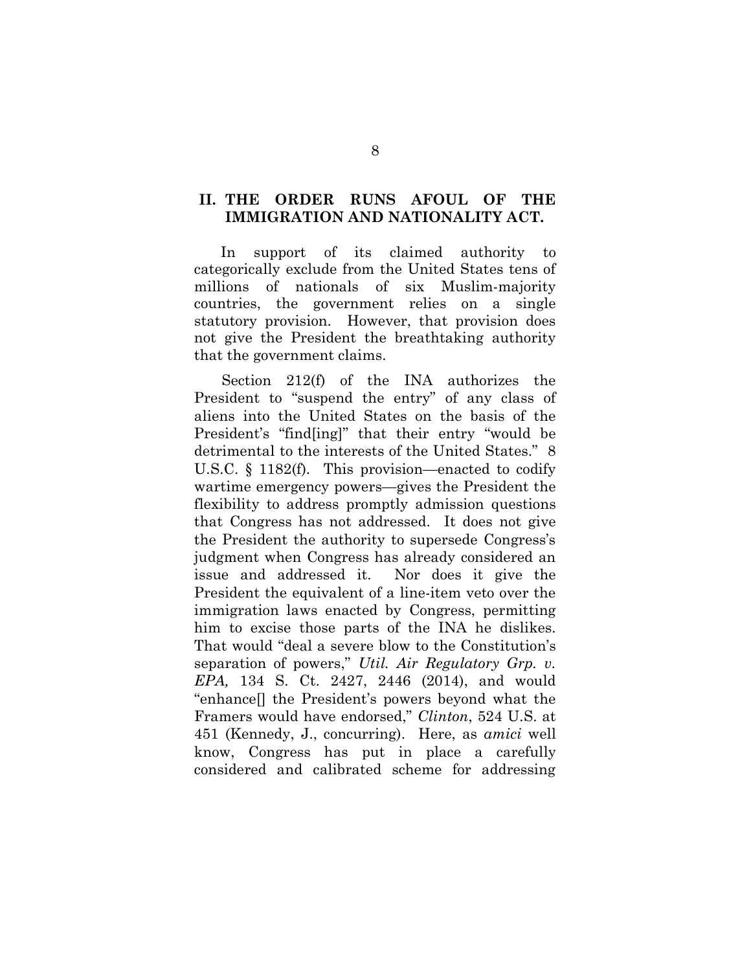#### II. THE ORDER RUNS AFOUL OF THE IMMIGRATION AND NATIONALITY ACT.

In support of its claimed authority to categorically exclude from the United States tens of millions of nationals of six Muslim-majority countries, the government relies on a single statutory provision. However, that provision does not give the President the breathtaking authority that the government claims.

Section 212(f) of the INA authorizes the President to "suspend the entry" of any class of aliens into the United States on the basis of the President's "find[ing]" that their entry "would be detrimental to the interests of the United States." 8 U.S.C. § 1182(f). This provision—enacted to codify wartime emergency powers—gives the President the flexibility to address promptly admission questions that Congress has not addressed. It does not give the President the authority to supersede Congress's judgment when Congress has already considered an issue and addressed it. Nor does it give the President the equivalent of a line-item veto over the immigration laws enacted by Congress, permitting him to excise those parts of the INA he dislikes. That would "deal a severe blow to the Constitution's separation of powers," Util. Air Regulatory Grp. v. EPA, 134 S. Ct. 2427, 2446 (2014), and would "enhance[] the President's powers beyond what the Framers would have endorsed," Clinton, 524 U.S. at 451 (Kennedy, J., concurring). Here, as amici well know, Congress has put in place a carefully considered and calibrated scheme for addressing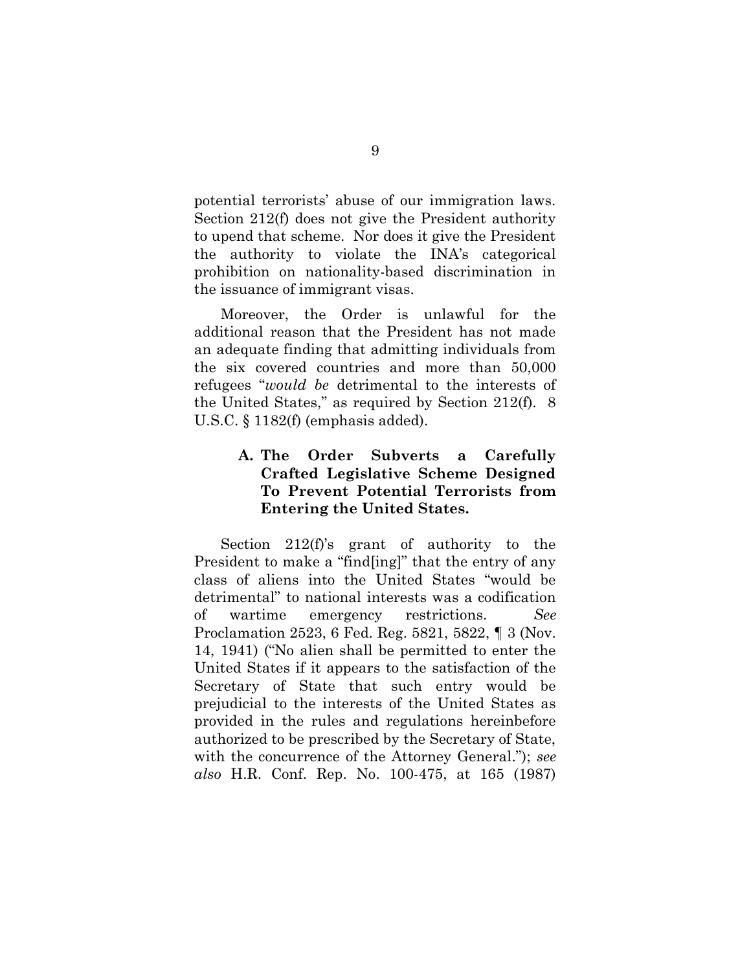potential terrorists' abuse of our immigration laws. Section 212(f) does not give the President authority to upend that scheme. Nor does it give the President the authority to violate the INA's categorical prohibition on nationality-based discrimination in the issuance of immigrant visas.

Moreover, the Order is unlawful for the additional reason that the President has not made an adequate finding that admitting individuals from the six covered countries and more than 50,000 refugees "would be detrimental to the interests of the United States," as required by Section 212(f). 8 U.S.C. § 1182(f) (emphasis added).

# A. The Order Subverts a Carefully Crafted Legislative Scheme Designed To Prevent Potential Terrorists from Entering the United States.

Section 212(f)'s grant of authority to the President to make a "find[ing]" that the entry of any class of aliens into the United States "would be detrimental" to national interests was a codification of wartime emergency restrictions. See Proclamation 2523, 6 Fed. Reg. 5821, 5822, ¶ 3 (Nov. 14, 1941) ("No alien shall be permitted to enter the United States if it appears to the satisfaction of the Secretary of State that such entry would be prejudicial to the interests of the United States as provided in the rules and regulations hereinbefore authorized to be prescribed by the Secretary of State, with the concurrence of the Attorney General."); see also H.R. Conf. Rep. No. 100-475, at 165 (1987)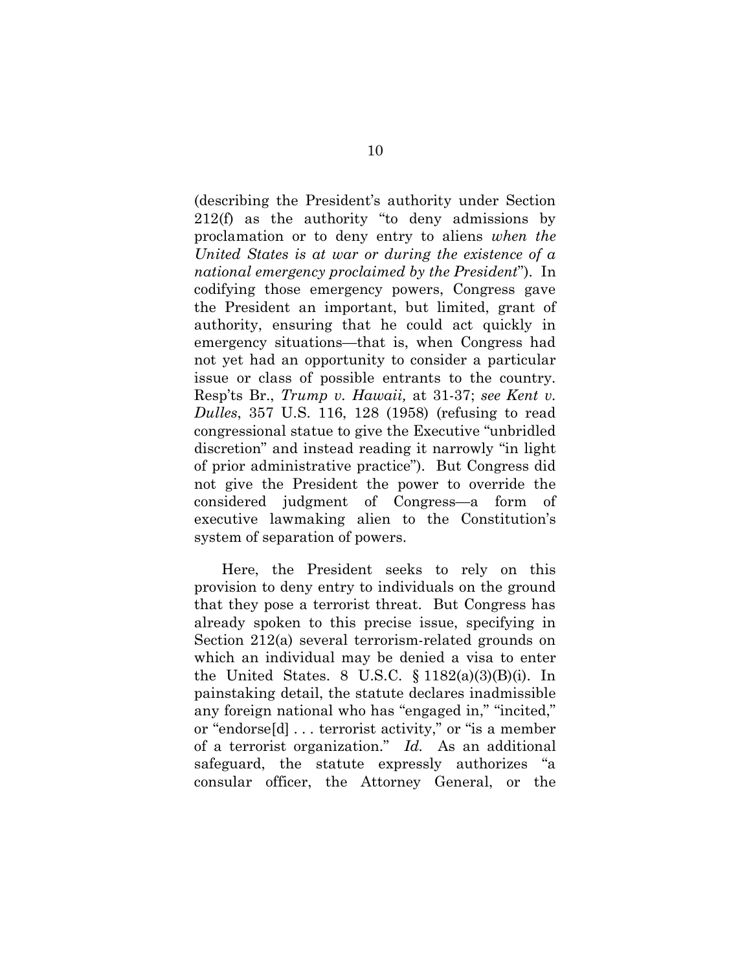(describing the President's authority under Section 212(f) as the authority "to deny admissions by proclamation or to deny entry to aliens when the United States is at war or during the existence of a national emergency proclaimed by the President"). In codifying those emergency powers, Congress gave the President an important, but limited, grant of authority, ensuring that he could act quickly in emergency situations—that is, when Congress had not yet had an opportunity to consider a particular issue or class of possible entrants to the country. Resp'ts Br., Trump v. Hawaii, at 31-37; see Kent v. Dulles, 357 U.S. 116, 128 (1958) (refusing to read congressional statue to give the Executive "unbridled discretion" and instead reading it narrowly "in light of prior administrative practice"). But Congress did not give the President the power to override the considered judgment of Congress—a form of executive lawmaking alien to the Constitution's system of separation of powers.

Here, the President seeks to rely on this provision to deny entry to individuals on the ground that they pose a terrorist threat. But Congress has already spoken to this precise issue, specifying in Section 212(a) several terrorism-related grounds on which an individual may be denied a visa to enter the United States. 8 U.S.C. § 1182(a)(3)(B)(i). In painstaking detail, the statute declares inadmissible any foreign national who has "engaged in," "incited," or "endorse[d] . . . terrorist activity," or "is a member of a terrorist organization." Id. As an additional safeguard, the statute expressly authorizes "a consular officer, the Attorney General, or the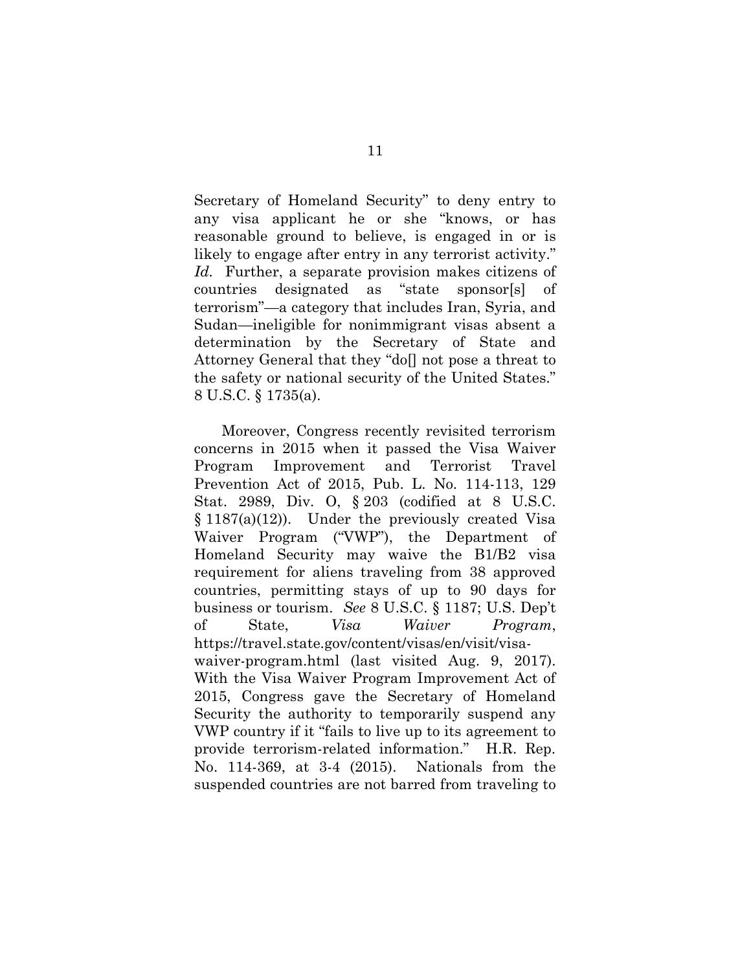Secretary of Homeland Security" to deny entry to any visa applicant he or she "knows, or has reasonable ground to believe, is engaged in or is likely to engage after entry in any terrorist activity." Id. Further, a separate provision makes citizens of countries designated as "state sponsor[s] of terrorism"—a category that includes Iran, Syria, and Sudan—ineligible for nonimmigrant visas absent a determination by the Secretary of State and Attorney General that they "do[] not pose a threat to the safety or national security of the United States." 8 U.S.C. § 1735(a).

Moreover, Congress recently revisited terrorism concerns in 2015 when it passed the Visa Waiver Program Improvement and Terrorist Travel Prevention Act of 2015, Pub. L. No. 114-113, 129 Stat. 2989, Div. O, § 203 (codified at 8 U.S.C.  $§ 1187(a)(12)$ . Under the previously created Visa Waiver Program ("VWP"), the Department of Homeland Security may waive the B1/B2 visa requirement for aliens traveling from 38 approved countries, permitting stays of up to 90 days for business or tourism. See 8 U.S.C. § 1187; U.S. Dep't of State, Visa Waiver Program, https://travel.state.gov/content/visas/en/visit/visawaiver-program.html (last visited Aug. 9, 2017). With the Visa Waiver Program Improvement Act of 2015, Congress gave the Secretary of Homeland Security the authority to temporarily suspend any VWP country if it "fails to live up to its agreement to provide terrorism-related information." H.R. Rep. No. 114-369, at 3-4 (2015). Nationals from the suspended countries are not barred from traveling to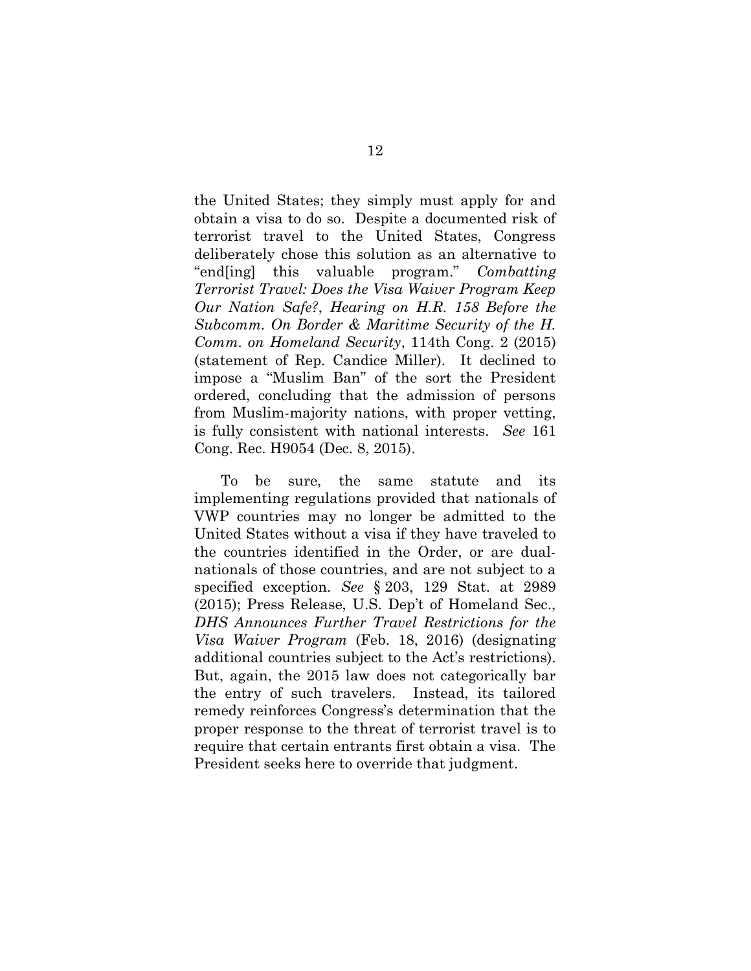the United States; they simply must apply for and obtain a visa to do so. Despite a documented risk of terrorist travel to the United States, Congress deliberately chose this solution as an alternative to "end[ing] this valuable program." Combatting Terrorist Travel: Does the Visa Waiver Program Keep Our Nation Safe?, Hearing on H.R. 158 Before the Subcomm. On Border & Maritime Security of the H. Comm. on Homeland Security, 114th Cong. 2 (2015) (statement of Rep. Candice Miller). It declined to impose a "Muslim Ban" of the sort the President ordered, concluding that the admission of persons from Muslim-majority nations, with proper vetting, is fully consistent with national interests. See 161 Cong. Rec. H9054 (Dec. 8, 2015).

To be sure, the same statute and its implementing regulations provided that nationals of VWP countries may no longer be admitted to the United States without a visa if they have traveled to the countries identified in the Order, or are dualnationals of those countries, and are not subject to a specified exception. See § 203, 129 Stat. at 2989 (2015); Press Release, U.S. Dep't of Homeland Sec., DHS Announces Further Travel Restrictions for the Visa Waiver Program (Feb. 18, 2016) (designating additional countries subject to the Act's restrictions). But, again, the 2015 law does not categorically bar the entry of such travelers. Instead, its tailored remedy reinforces Congress's determination that the proper response to the threat of terrorist travel is to require that certain entrants first obtain a visa. The President seeks here to override that judgment.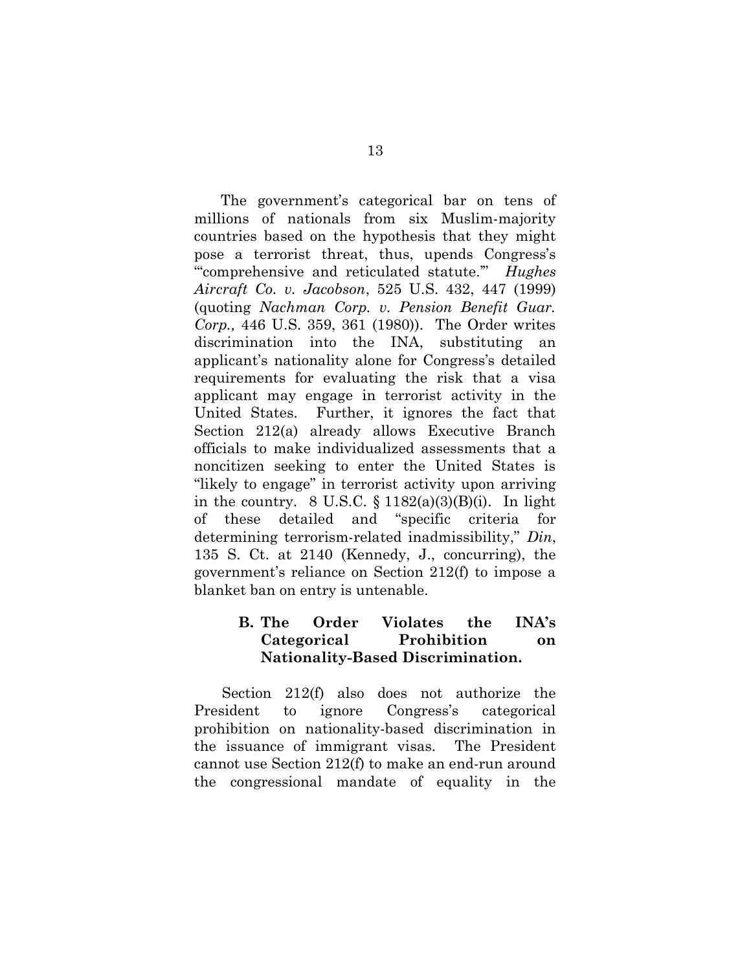The government's categorical bar on tens of millions of nationals from six Muslim-majority countries based on the hypothesis that they might pose a terrorist threat, thus, upends Congress's "" comprehensive and reticulated statute." Hughes Aircraft Co. v. Jacobson, 525 U.S. 432, 447 (1999) (quoting Nachman Corp. v. Pension Benefit Guar. Corp., 446 U.S. 359, 361 (1980)). The Order writes discrimination into the INA, substituting an applicant's nationality alone for Congress's detailed requirements for evaluating the risk that a visa applicant may engage in terrorist activity in the United States. Further, it ignores the fact that Section 212(a) already allows Executive Branch officials to make individualized assessments that a noncitizen seeking to enter the United States is "likely to engage" in terrorist activity upon arriving in the country.  $8 \text{ U.S.C. } \S 1182(a)(3)(B)(i)$ . In light of these detailed and "specific criteria for determining terrorism-related inadmissibility," Din, 135 S. Ct. at 2140 (Kennedy, J., concurring), the government's reliance on Section 212(f) to impose a blanket ban on entry is untenable.

# B. The Order Violates the INA's Categorical Prohibition on Nationality-Based Discrimination.

Section 212(f) also does not authorize the President to ignore Congress's categorical prohibition on nationality-based discrimination in the issuance of immigrant visas. The President cannot use Section 212(f) to make an end-run around the congressional mandate of equality in the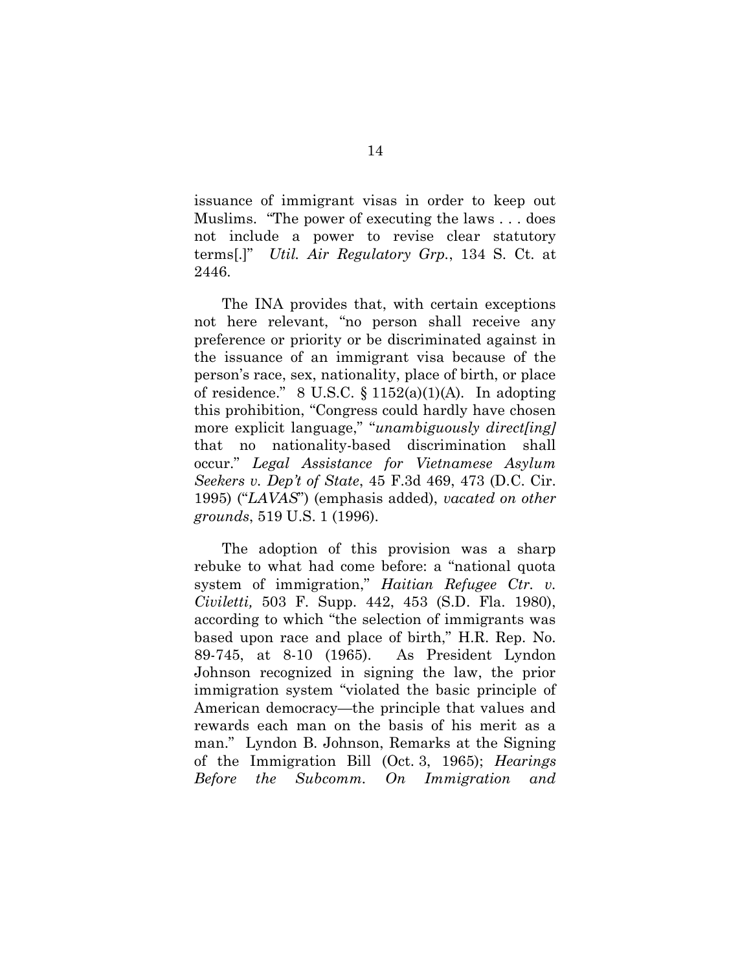issuance of immigrant visas in order to keep out Muslims. "The power of executing the laws . . . does not include a power to revise clear statutory terms[.]" Util. Air Regulatory Grp., 134 S. Ct. at 2446.

The INA provides that, with certain exceptions not here relevant, "no person shall receive any preference or priority or be discriminated against in the issuance of an immigrant visa because of the person's race, sex, nationality, place of birth, or place of residence." 8 U.S.C.  $\S 1152(a)(1)(A)$ . In adopting this prohibition, "Congress could hardly have chosen more explicit language," "unambiguously direct[ing] that no nationality-based discrimination shall occur." Legal Assistance for Vietnamese Asylum Seekers v. Dep't of State, 45 F.3d 469, 473 (D.C. Cir. 1995) ("LAVAS") (emphasis added), vacated on other grounds, 519 U.S. 1 (1996).

The adoption of this provision was a sharp rebuke to what had come before: a "national quota system of immigration," Haitian Refugee Ctr.  $v$ . Civiletti, 503 F. Supp. 442, 453 (S.D. Fla. 1980), according to which "the selection of immigrants was based upon race and place of birth," H.R. Rep. No. 89-745, at 8-10 (1965). As President Lyndon Johnson recognized in signing the law, the prior immigration system "violated the basic principle of American democracy—the principle that values and rewards each man on the basis of his merit as a man." Lyndon B. Johnson, Remarks at the Signing of the Immigration Bill (Oct. 3, 1965); Hearings Before the Subcomm. On Immigration and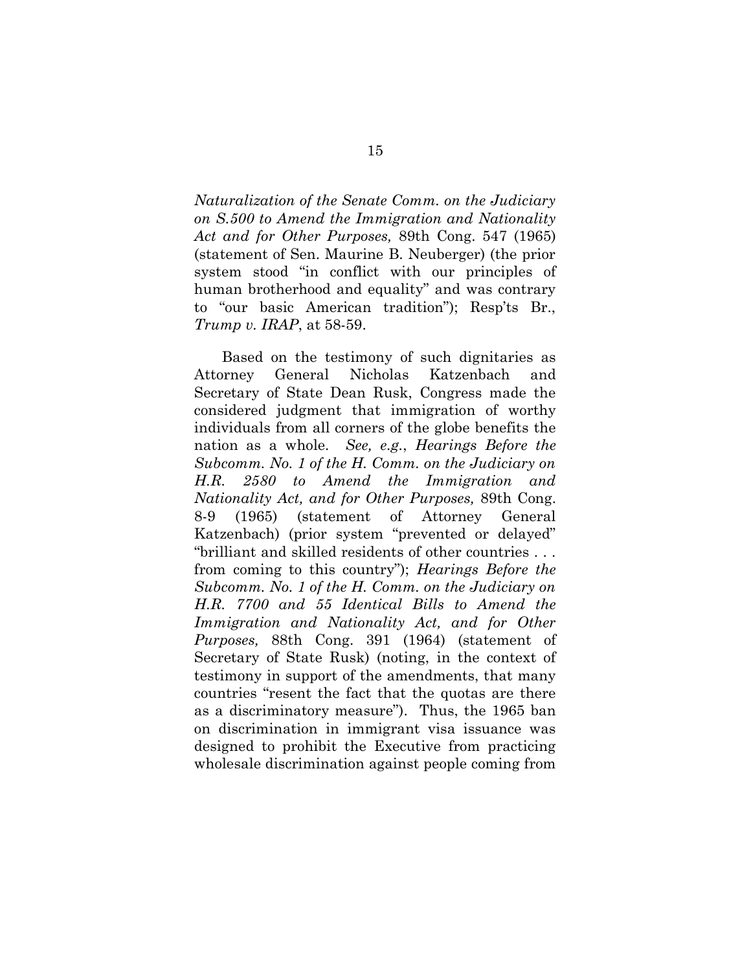Naturalization of the Senate Comm. on the Judiciary on S.500 to Amend the Immigration and Nationality Act and for Other Purposes, 89th Cong. 547 (1965) (statement of Sen. Maurine B. Neuberger) (the prior system stood "in conflict with our principles of human brotherhood and equality" and was contrary to "our basic American tradition"); Resp'ts Br., Trump v. IRAP, at 58-59.

Based on the testimony of such dignitaries as Attorney General Nicholas Katzenbach and Secretary of State Dean Rusk, Congress made the considered judgment that immigration of worthy individuals from all corners of the globe benefits the nation as a whole. See, e.g., Hearings Before the Subcomm. No. 1 of the H. Comm. on the Judiciary on H.R. 2580 to Amend the Immigration and Nationality Act, and for Other Purposes, 89th Cong. 8-9 (1965) (statement of Attorney General Katzenbach) (prior system "prevented or delayed" "brilliant and skilled residents of other countries . . . from coming to this country"); Hearings Before the Subcomm. No. 1 of the H. Comm. on the Judiciary on H.R. 7700 and 55 Identical Bills to Amend the Immigration and Nationality Act, and for Other Purposes, 88th Cong. 391 (1964) (statement of Secretary of State Rusk) (noting, in the context of testimony in support of the amendments, that many countries "resent the fact that the quotas are there as a discriminatory measure"). Thus, the 1965 ban on discrimination in immigrant visa issuance was designed to prohibit the Executive from practicing wholesale discrimination against people coming from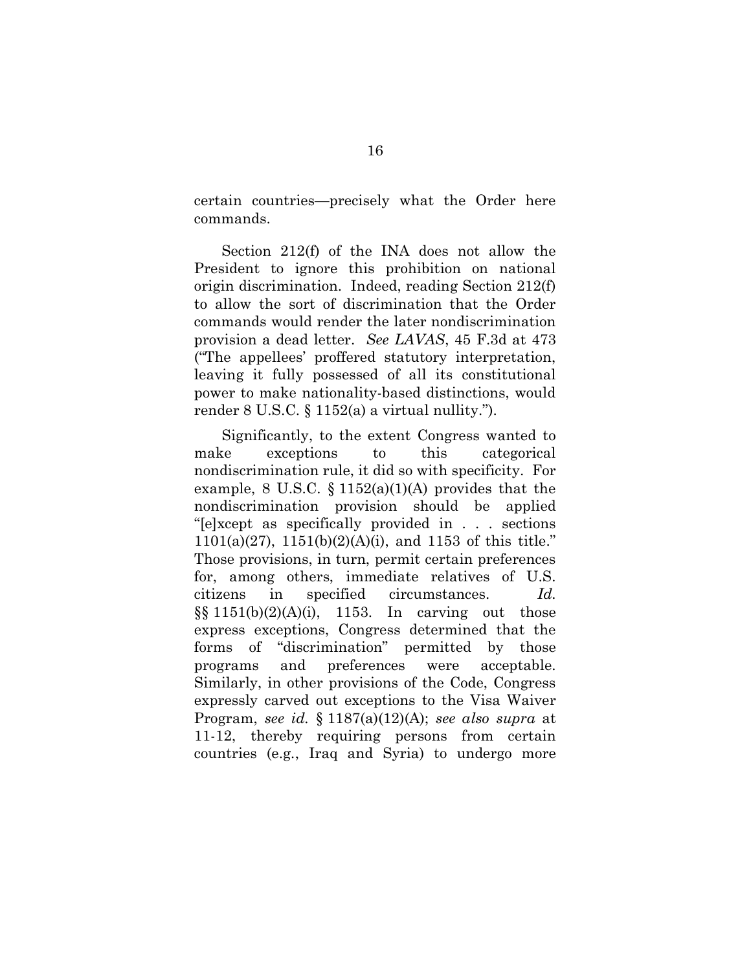certain countries—precisely what the Order here commands.

Section 212(f) of the INA does not allow the President to ignore this prohibition on national origin discrimination. Indeed, reading Section 212(f) to allow the sort of discrimination that the Order commands would render the later nondiscrimination provision a dead letter. See LAVAS, 45 F.3d at 473 ("The appellees' proffered statutory interpretation, leaving it fully possessed of all its constitutional power to make nationality-based distinctions, would render 8 U.S.C. § 1152(a) a virtual nullity.").

Significantly, to the extent Congress wanted to make exceptions to this categorical nondiscrimination rule, it did so with specificity. For example, 8 U.S.C.  $\S 1152(a)(1)(A)$  provides that the nondiscrimination provision should be applied "[e]xcept as specifically provided in . . . sections  $1101(a)(27)$ ,  $1151(b)(2)(A)(i)$ , and  $1153$  of this title." Those provisions, in turn, permit certain preferences for, among others, immediate relatives of U.S. citizens in specified circumstances. Id.  $\S\S 1151(b)(2)(A)(i)$ , 1153. In carving out those express exceptions, Congress determined that the forms of "discrimination" permitted by those programs and preferences were acceptable. Similarly, in other provisions of the Code, Congress expressly carved out exceptions to the Visa Waiver Program, see id.  $\S 1187(a)(12)(A)$ ; see also supra at 11-12, thereby requiring persons from certain countries (e.g., Iraq and Syria) to undergo more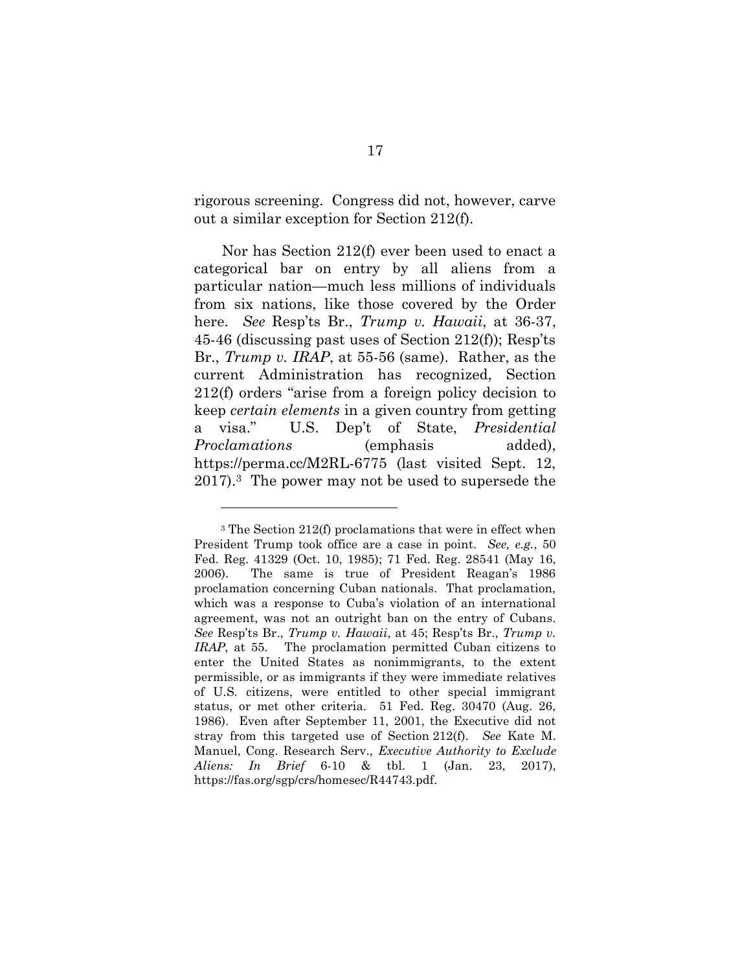rigorous screening. Congress did not, however, carve out a similar exception for Section 212(f).

Nor has Section 212(f) ever been used to enact a categorical bar on entry by all aliens from a particular nation—much less millions of individuals from six nations, like those covered by the Order here. See Resp'ts Br., Trump v. Hawaii, at 36-37, 45-46 (discussing past uses of Section 212(f)); Resp'ts Br., Trump v. IRAP, at 55-56 (same). Rather, as the current Administration has recognized, Section 212(f) orders "arise from a foreign policy decision to keep certain elements in a given country from getting a visa." U.S. Dep't of State, Presidential Proclamations (emphasis added), https://perma.cc/M2RL-6775 (last visited Sept. 12, 2017).3 The power may not be used to supersede the

 $\overline{a}$ 

<sup>3</sup> The Section 212(f) proclamations that were in effect when President Trump took office are a case in point. See, e.g., 50 Fed. Reg. 41329 (Oct. 10, 1985); 71 Fed. Reg. 28541 (May 16, 2006). The same is true of President Reagan's 1986 proclamation concerning Cuban nationals. That proclamation, which was a response to Cuba's violation of an international agreement, was not an outright ban on the entry of Cubans. See Resp'ts Br., Trump v. Hawaii, at 45; Resp'ts Br., Trump v. IRAP, at 55. The proclamation permitted Cuban citizens to enter the United States as nonimmigrants, to the extent permissible, or as immigrants if they were immediate relatives of U.S. citizens, were entitled to other special immigrant status, or met other criteria. 51 Fed. Reg. 30470 (Aug. 26, 1986). Even after September 11, 2001, the Executive did not stray from this targeted use of Section 212(f). See Kate M. Manuel, Cong. Research Serv., Executive Authority to Exclude Aliens: In Brief 6-10 & tbl. 1 (Jan. 23, 2017), https://fas.org/sgp/crs/homesec/R44743.pdf.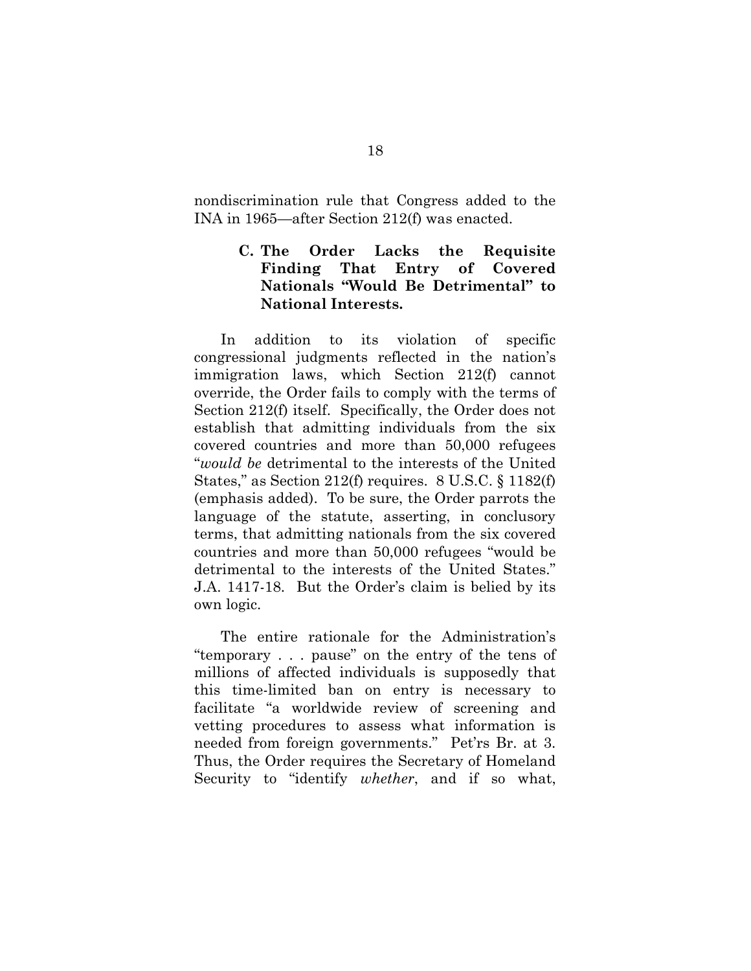nondiscrimination rule that Congress added to the INA in 1965—after Section 212(f) was enacted.

# C. The Order Lacks the Requisite Finding That Entry of Covered Nationals "Would Be Detrimental" to National Interests.

In addition to its violation of specific congressional judgments reflected in the nation's immigration laws, which Section 212(f) cannot override, the Order fails to comply with the terms of Section 212(f) itself. Specifically, the Order does not establish that admitting individuals from the six covered countries and more than 50,000 refugees "would be detrimental to the interests of the United States," as Section 212(f) requires. 8 U.S.C. § 1182(f) (emphasis added). To be sure, the Order parrots the language of the statute, asserting, in conclusory terms, that admitting nationals from the six covered countries and more than 50,000 refugees "would be detrimental to the interests of the United States." J.A. 1417-18. But the Order's claim is belied by its own logic.

The entire rationale for the Administration's "temporary . . . pause" on the entry of the tens of millions of affected individuals is supposedly that this time-limited ban on entry is necessary to facilitate "a worldwide review of screening and vetting procedures to assess what information is needed from foreign governments." Pet'rs Br. at 3. Thus, the Order requires the Secretary of Homeland Security to "identify *whether*, and if so what,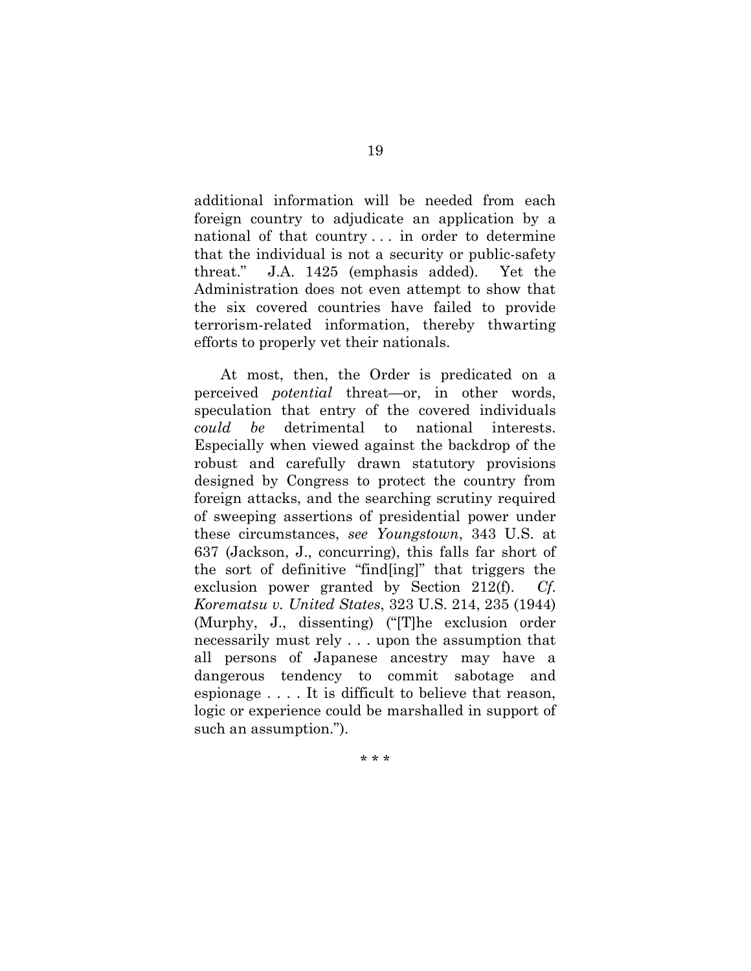additional information will be needed from each foreign country to adjudicate an application by a national of that country . . . in order to determine that the individual is not a security or public-safety threat." J.A. 1425 (emphasis added). Yet the Administration does not even attempt to show that the six covered countries have failed to provide terrorism-related information, thereby thwarting efforts to properly vet their nationals.

At most, then, the Order is predicated on a perceived potential threat—or, in other words, speculation that entry of the covered individuals could be detrimental to national interests. Especially when viewed against the backdrop of the robust and carefully drawn statutory provisions designed by Congress to protect the country from foreign attacks, and the searching scrutiny required of sweeping assertions of presidential power under these circumstances, see Youngstown, 343 U.S. at 637 (Jackson, J., concurring), this falls far short of the sort of definitive "find[ing]" that triggers the exclusion power granted by Section 212(f). Cf. Korematsu v. United States, 323 U.S. 214, 235 (1944) (Murphy, J., dissenting) ("[T]he exclusion order necessarily must rely . . . upon the assumption that all persons of Japanese ancestry may have a dangerous tendency to commit sabotage and espionage . . . . It is difficult to believe that reason, logic or experience could be marshalled in support of such an assumption.").

\* \* \*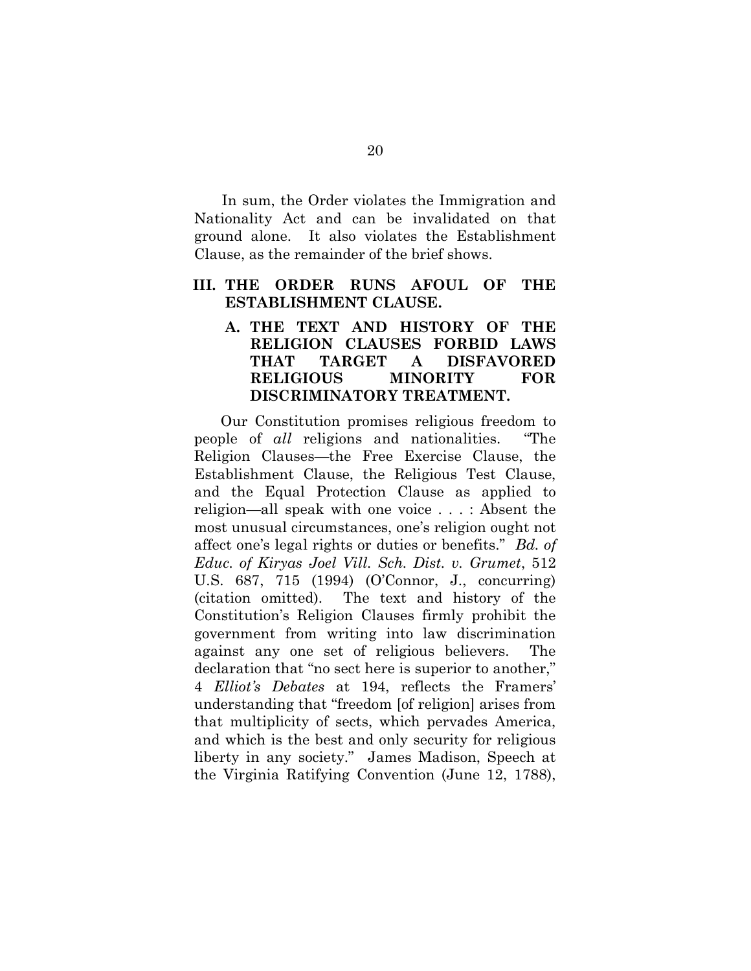In sum, the Order violates the Immigration and Nationality Act and can be invalidated on that ground alone. It also violates the Establishment Clause, as the remainder of the brief shows.

#### III. THE ORDER RUNS AFOUL OF THE ESTABLISHMENT CLAUSE.

# A. THE TEXT AND HISTORY OF THE RELIGION CLAUSES FORBID LAWS THAT TARGET A DISFAVORED RELIGIOUS MINORITY FOR DISCRIMINATORY TREATMENT.

Our Constitution promises religious freedom to people of all religions and nationalities. "The Religion Clauses—the Free Exercise Clause, the Establishment Clause, the Religious Test Clause, and the Equal Protection Clause as applied to religion—all speak with one voice . . . : Absent the most unusual circumstances, one's religion ought not affect one's legal rights or duties or benefits." Bd. of Educ. of Kiryas Joel Vill. Sch. Dist. v. Grumet, 512 U.S. 687, 715 (1994) (O'Connor, J., concurring) (citation omitted). The text and history of the Constitution's Religion Clauses firmly prohibit the government from writing into law discrimination against any one set of religious believers. The declaration that "no sect here is superior to another," 4 Elliot's Debates at 194, reflects the Framers' understanding that "freedom [of religion] arises from that multiplicity of sects, which pervades America, and which is the best and only security for religious liberty in any society." James Madison, Speech at the Virginia Ratifying Convention (June 12, 1788),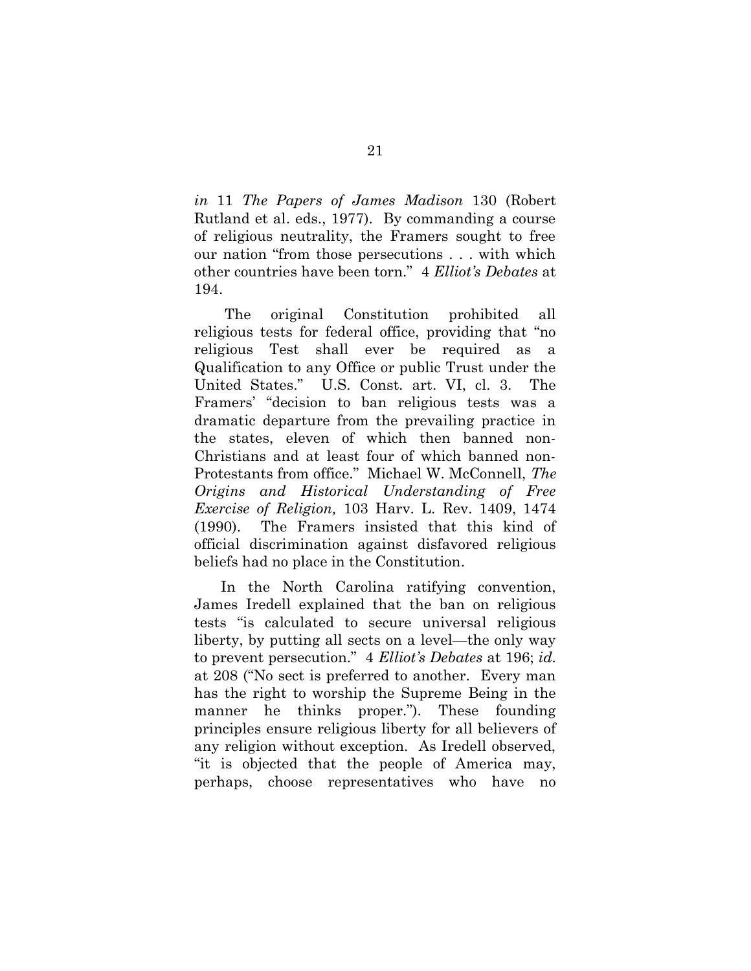in 11 The Papers of James Madison 130 (Robert Rutland et al. eds., 1977). By commanding a course of religious neutrality, the Framers sought to free our nation "from those persecutions . . . with which other countries have been torn." 4 Elliot's Debates at 194.

 The original Constitution prohibited all religious tests for federal office, providing that "no religious Test shall ever be required as a Qualification to any Office or public Trust under the United States." U.S. Const. art. VI, cl. 3. The Framers' "decision to ban religious tests was a dramatic departure from the prevailing practice in the states, eleven of which then banned non-Christians and at least four of which banned non-Protestants from office." Michael W. McConnell, The Origins and Historical Understanding of Free Exercise of Religion, 103 Harv. L. Rev. 1409, 1474 (1990). The Framers insisted that this kind of official discrimination against disfavored religious beliefs had no place in the Constitution.

In the North Carolina ratifying convention, James Iredell explained that the ban on religious tests "is calculated to secure universal religious liberty, by putting all sects on a level—the only way to prevent persecution." 4 Elliot's Debates at 196; id. at 208 ("No sect is preferred to another. Every man has the right to worship the Supreme Being in the manner he thinks proper."). These founding principles ensure religious liberty for all believers of any religion without exception. As Iredell observed, "it is objected that the people of America may, perhaps, choose representatives who have no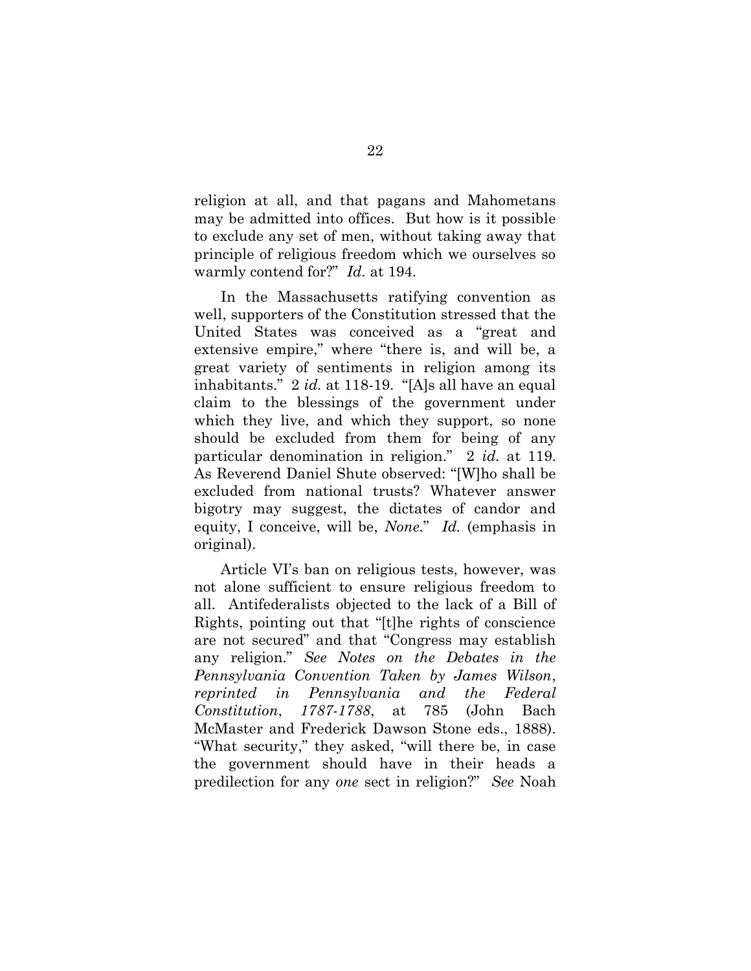religion at all, and that pagans and Mahometans may be admitted into offices. But how is it possible to exclude any set of men, without taking away that principle of religious freedom which we ourselves so warmly contend for?" *Id.* at 194.

In the Massachusetts ratifying convention as well, supporters of the Constitution stressed that the United States was conceived as a "great and extensive empire," where "there is, and will be, a great variety of sentiments in religion among its inhabitants." 2 id. at 118-19. "[A]s all have an equal claim to the blessings of the government under which they live, and which they support, so none should be excluded from them for being of any particular denomination in religion." 2 id. at 119. As Reverend Daniel Shute observed: "[W]ho shall be excluded from national trusts? Whatever answer bigotry may suggest, the dictates of candor and equity, I conceive, will be, None." Id. (emphasis in original).

Article VI's ban on religious tests, however, was not alone sufficient to ensure religious freedom to all. Antifederalists objected to the lack of a Bill of Rights, pointing out that "[t]he rights of conscience are not secured" and that "Congress may establish any religion." See Notes on the Debates in the Pennsylvania Convention Taken by James Wilson, reprinted in Pennsylvania and the Federal Constitution, 1787-1788, at 785 (John Bach McMaster and Frederick Dawson Stone eds., 1888). "What security," they asked, "will there be, in case the government should have in their heads a predilection for any one sect in religion?" See Noah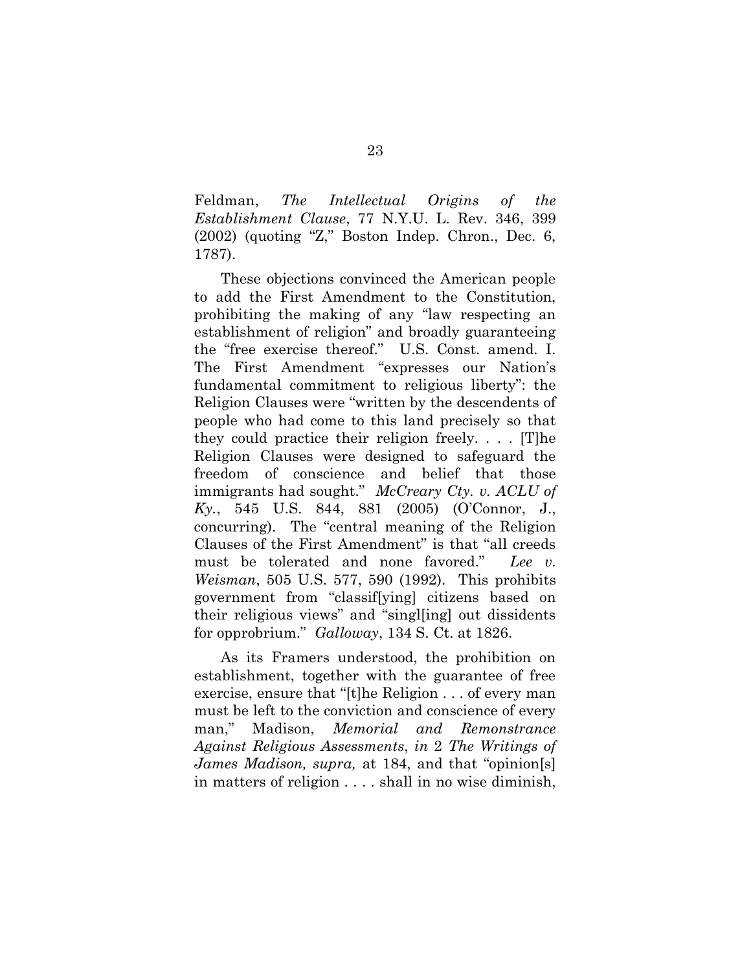Feldman, The Intellectual Origins of the Establishment Clause, 77 N.Y.U. L. Rev. 346, 399 (2002) (quoting "Z," Boston Indep. Chron., Dec. 6, 1787).

These objections convinced the American people to add the First Amendment to the Constitution, prohibiting the making of any "law respecting an establishment of religion" and broadly guaranteeing the "free exercise thereof." U.S. Const. amend. I. The First Amendment "expresses our Nation's fundamental commitment to religious liberty": the Religion Clauses were "written by the descendents of people who had come to this land precisely so that they could practice their religion freely. . . . [T]he Religion Clauses were designed to safeguard the freedom of conscience and belief that those immigrants had sought." McCreary Cty. v. ACLU of Ky., 545 U.S. 844, 881 (2005) (O'Connor, J., concurring). The "central meaning of the Religion Clauses of the First Amendment" is that "all creeds must be tolerated and none favored." Lee v. Weisman, 505 U.S. 577, 590 (1992). This prohibits government from "classif[ying] citizens based on their religious views" and "singl[ing] out dissidents for opprobrium." Galloway, 134 S. Ct. at 1826.

As its Framers understood, the prohibition on establishment, together with the guarantee of free exercise, ensure that "[t]he Religion . . . of every man must be left to the conviction and conscience of every man," Madison, Memorial and Remonstrance Against Religious Assessments, in 2 The Writings of James Madison, supra, at 184, and that "opinion[s] in matters of religion . . . . shall in no wise diminish,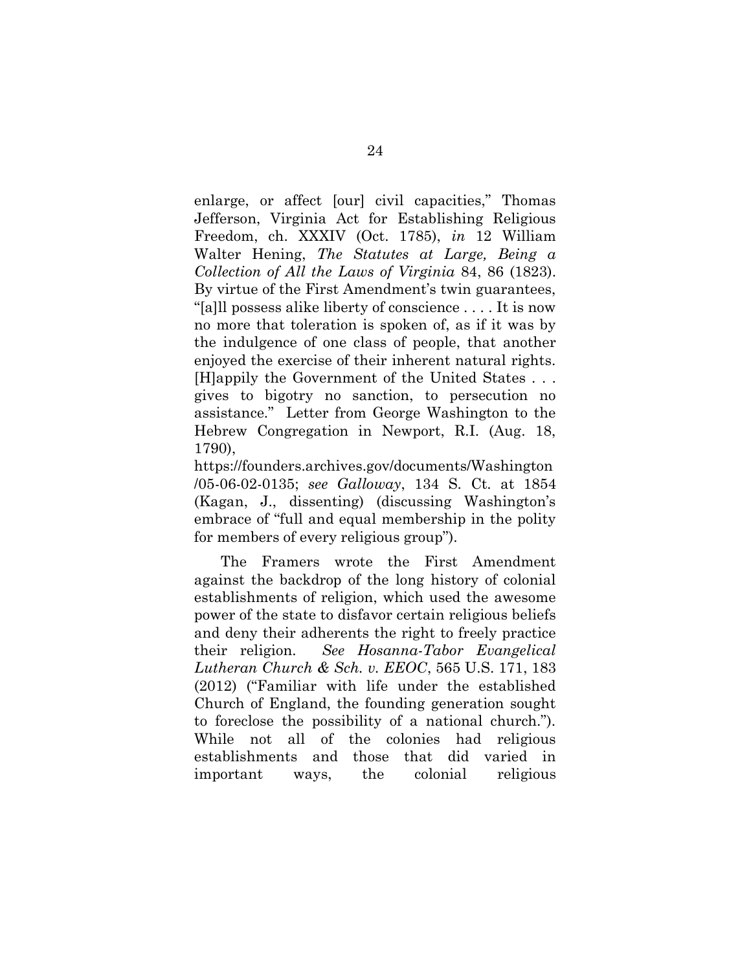enlarge, or affect [our] civil capacities," Thomas Jefferson, Virginia Act for Establishing Religious Freedom, ch. XXXIV (Oct. 1785), in 12 William Walter Hening, The Statutes at Large, Being a Collection of All the Laws of Virginia 84, 86 (1823). By virtue of the First Amendment's twin guarantees, "[a]ll possess alike liberty of conscience . . . . It is now no more that toleration is spoken of, as if it was by the indulgence of one class of people, that another enjoyed the exercise of their inherent natural rights. [H]appily the Government of the United States . . . gives to bigotry no sanction, to persecution no assistance." Letter from George Washington to the Hebrew Congregation in Newport, R.I. (Aug. 18, 1790),

https://founders.archives.gov/documents/Washington /05-06-02-0135; see Galloway, 134 S. Ct. at 1854 (Kagan, J., dissenting) (discussing Washington's embrace of "full and equal membership in the polity for members of every religious group").

The Framers wrote the First Amendment against the backdrop of the long history of colonial establishments of religion, which used the awesome power of the state to disfavor certain religious beliefs and deny their adherents the right to freely practice their religion. See Hosanna-Tabor Evangelical Lutheran Church & Sch. v. EEOC, 565 U.S. 171, 183 (2012) ("Familiar with life under the established Church of England, the founding generation sought to foreclose the possibility of a national church."). While not all of the colonies had religious establishments and those that did varied in important ways, the colonial religious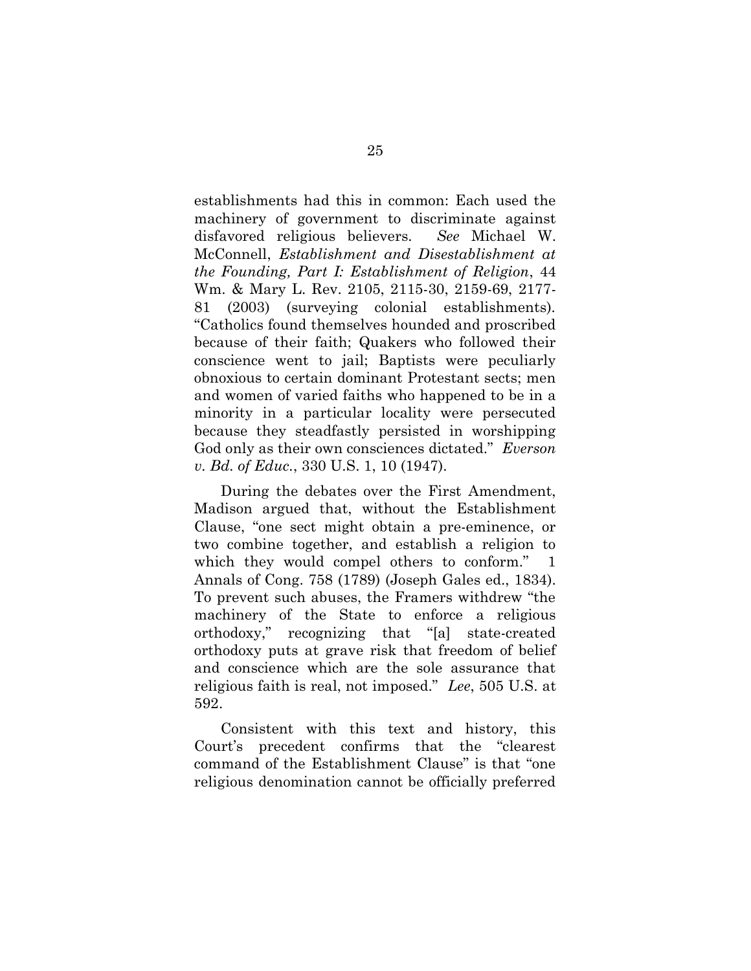establishments had this in common: Each used the machinery of government to discriminate against disfavored religious believers. See Michael W. McConnell, Establishment and Disestablishment at the Founding, Part I: Establishment of Religion, 44 Wm. & Mary L. Rev. 2105, 2115-30, 2159-69, 2177- 81 (2003) (surveying colonial establishments). "Catholics found themselves hounded and proscribed because of their faith; Quakers who followed their conscience went to jail; Baptists were peculiarly obnoxious to certain dominant Protestant sects; men and women of varied faiths who happened to be in a minority in a particular locality were persecuted because they steadfastly persisted in worshipping God only as their own consciences dictated." Everson v. Bd. of Educ., 330 U.S. 1, 10 (1947).

During the debates over the First Amendment, Madison argued that, without the Establishment Clause, "one sect might obtain a pre-eminence, or two combine together, and establish a religion to which they would compel others to conform." 1 Annals of Cong. 758 (1789) (Joseph Gales ed., 1834). To prevent such abuses, the Framers withdrew "the machinery of the State to enforce a religious orthodoxy," recognizing that "[a] state-created orthodoxy puts at grave risk that freedom of belief and conscience which are the sole assurance that religious faith is real, not imposed." Lee, 505 U.S. at 592.

Consistent with this text and history, this Court's precedent confirms that the "clearest command of the Establishment Clause" is that "one religious denomination cannot be officially preferred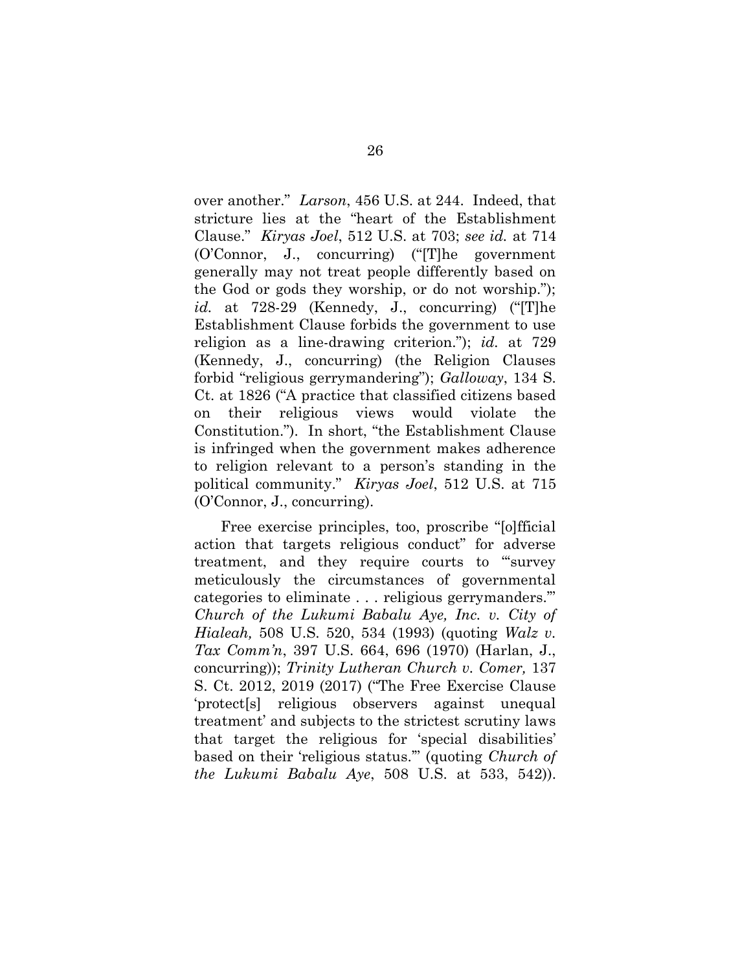over another." Larson, 456 U.S. at 244. Indeed, that stricture lies at the "heart of the Establishment Clause." Kiryas Joel, 512 U.S. at 703; see id. at 714 (O'Connor, J., concurring) ("[T]he government generally may not treat people differently based on the God or gods they worship, or do not worship."); id. at 728-29 (Kennedy, J., concurring) ("[T]he Establishment Clause forbids the government to use religion as a line-drawing criterion."); id. at 729 (Kennedy, J., concurring) (the Religion Clauses forbid "religious gerrymandering"); Galloway, 134 S. Ct. at 1826 ("A practice that classified citizens based on their religious views would violate the Constitution."). In short, "the Establishment Clause is infringed when the government makes adherence to religion relevant to a person's standing in the political community." Kiryas Joel, 512 U.S. at 715 (O'Connor, J., concurring).

Free exercise principles, too, proscribe "[o]fficial action that targets religious conduct" for adverse treatment, and they require courts to "'survey meticulously the circumstances of governmental categories to eliminate . . . religious gerrymanders.'" Church of the Lukumi Babalu Aye, Inc. v. City of Hialeah, 508 U.S. 520, 534 (1993) (quoting Walz v. Tax Comm'n, 397 U.S. 664, 696 (1970) (Harlan, J., concurring)); Trinity Lutheran Church v. Comer, 137 S. Ct. 2012, 2019 (2017) ("The Free Exercise Clause 'protect[s] religious observers against unequal treatment' and subjects to the strictest scrutiny laws that target the religious for 'special disabilities' based on their 'religious status.'" (quoting Church of the Lukumi Babalu Aye, 508 U.S. at 533, 542)).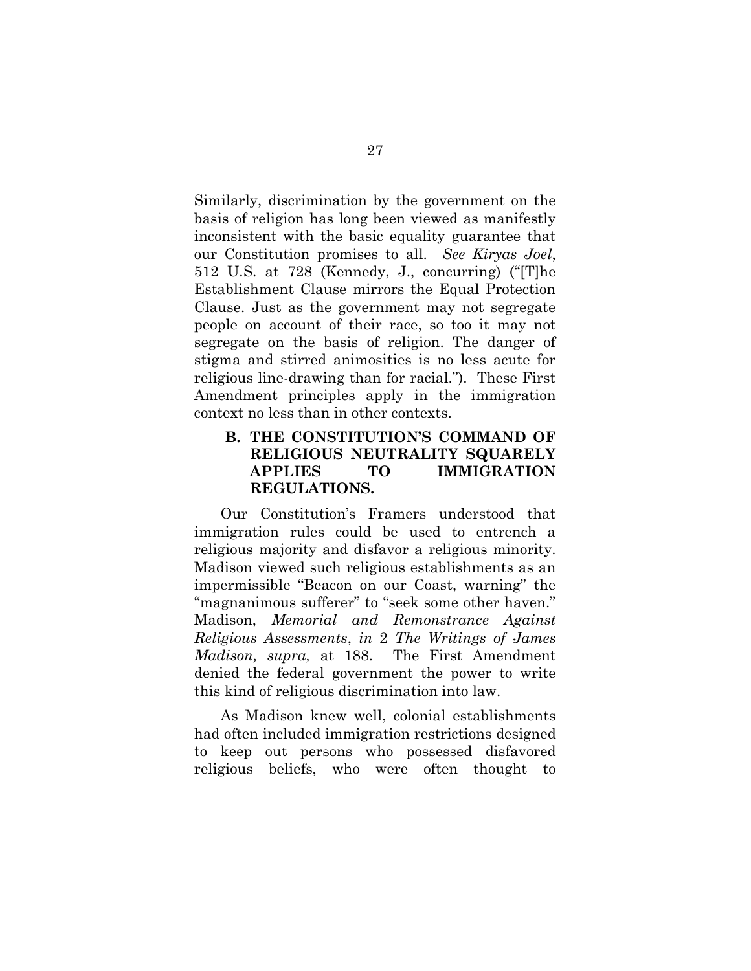Similarly, discrimination by the government on the basis of religion has long been viewed as manifestly inconsistent with the basic equality guarantee that our Constitution promises to all. See Kiryas Joel, 512 U.S. at 728 (Kennedy, J., concurring) ("[T]he Establishment Clause mirrors the Equal Protection Clause. Just as the government may not segregate people on account of their race, so too it may not segregate on the basis of religion. The danger of stigma and stirred animosities is no less acute for religious line-drawing than for racial."). These First Amendment principles apply in the immigration context no less than in other contexts.

#### B. THE CONSTITUTION'S COMMAND OF RELIGIOUS NEUTRALITY SQUARELY APPLIES TO IMMIGRATION REGULATIONS.

Our Constitution's Framers understood that immigration rules could be used to entrench a religious majority and disfavor a religious minority. Madison viewed such religious establishments as an impermissible "Beacon on our Coast, warning" the "magnanimous sufferer" to "seek some other haven." Madison, Memorial and Remonstrance Against Religious Assessments, in 2 The Writings of James Madison, supra, at 188. The First Amendment denied the federal government the power to write this kind of religious discrimination into law.

As Madison knew well, colonial establishments had often included immigration restrictions designed to keep out persons who possessed disfavored religious beliefs, who were often thought to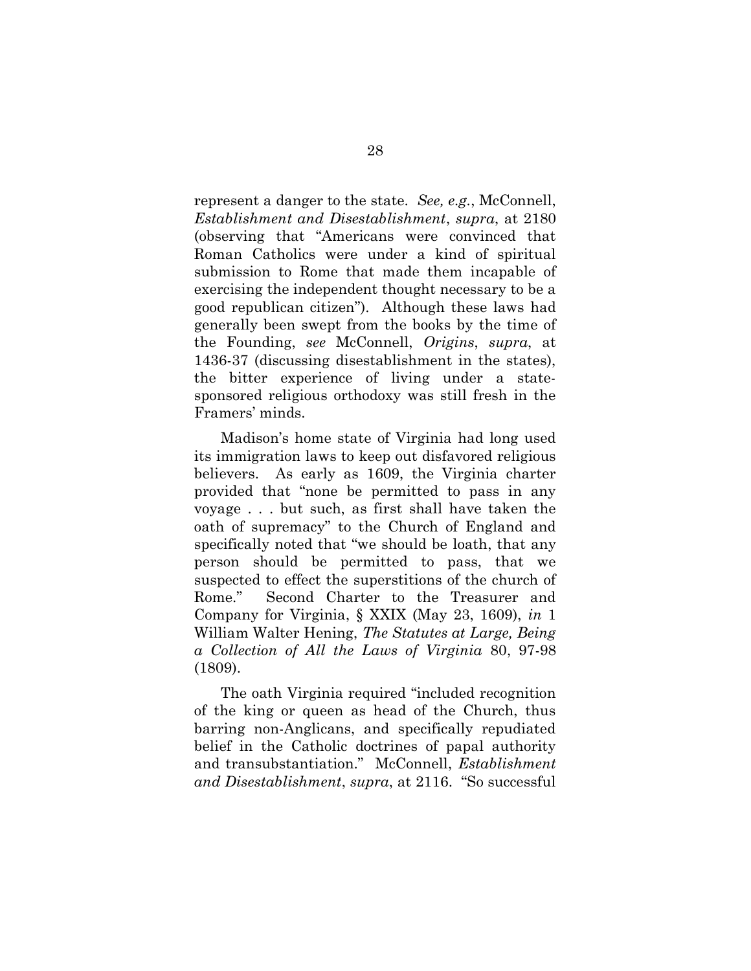represent a danger to the state. See, e.g., McConnell, Establishment and Disestablishment, supra, at 2180 (observing that "Americans were convinced that Roman Catholics were under a kind of spiritual submission to Rome that made them incapable of exercising the independent thought necessary to be a good republican citizen"). Although these laws had generally been swept from the books by the time of the Founding, see McConnell, Origins, supra, at 1436-37 (discussing disestablishment in the states), the bitter experience of living under a statesponsored religious orthodoxy was still fresh in the Framers' minds.

Madison's home state of Virginia had long used its immigration laws to keep out disfavored religious believers. As early as 1609, the Virginia charter provided that "none be permitted to pass in any voyage . . . but such, as first shall have taken the oath of supremacy" to the Church of England and specifically noted that "we should be loath, that any person should be permitted to pass, that we suspected to effect the superstitions of the church of Rome." Second Charter to the Treasurer and Company for Virginia, § XXIX (May 23, 1609), in 1 William Walter Hening, The Statutes at Large, Being a Collection of All the Laws of Virginia 80, 97-98 (1809).

The oath Virginia required "included recognition of the king or queen as head of the Church, thus barring non-Anglicans, and specifically repudiated belief in the Catholic doctrines of papal authority and transubstantiation." McConnell, *Establishment* and Disestablishment, supra, at 2116. "So successful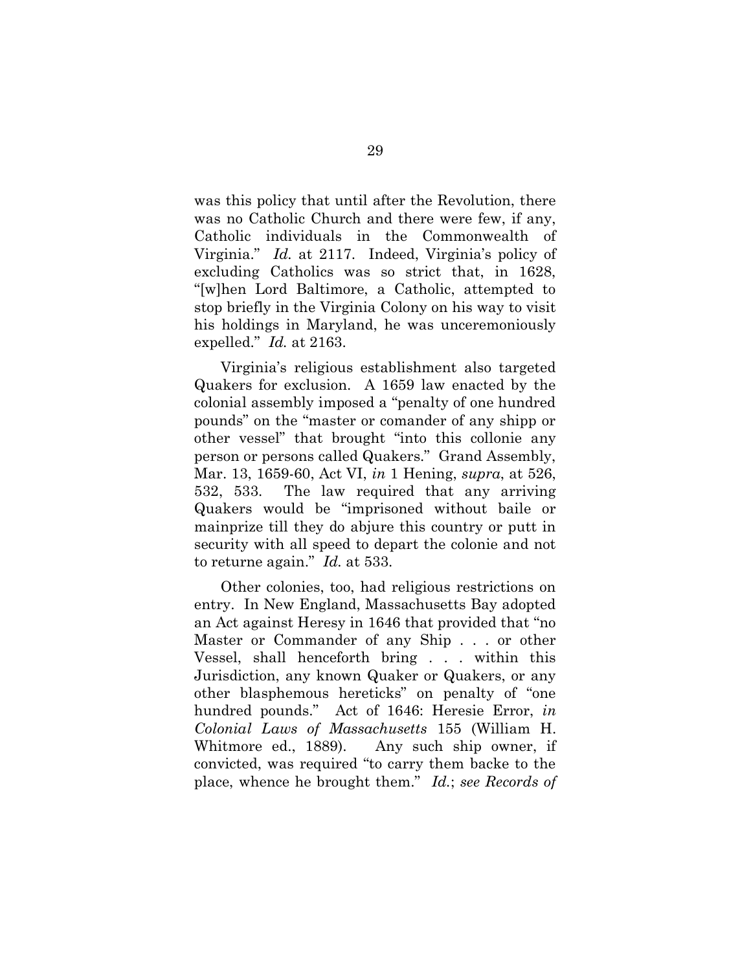was this policy that until after the Revolution, there was no Catholic Church and there were few, if any, Catholic individuals in the Commonwealth of Virginia." Id. at 2117. Indeed, Virginia's policy of excluding Catholics was so strict that, in 1628, "[w]hen Lord Baltimore, a Catholic, attempted to stop briefly in the Virginia Colony on his way to visit his holdings in Maryland, he was unceremoniously expelled." *Id.* at 2163.

Virginia's religious establishment also targeted Quakers for exclusion. A 1659 law enacted by the colonial assembly imposed a "penalty of one hundred pounds" on the "master or comander of any shipp or other vessel" that brought "into this collonie any person or persons called Quakers." Grand Assembly, Mar. 13, 1659-60, Act VI, in 1 Hening, supra, at 526, 532, 533. The law required that any arriving Quakers would be "imprisoned without baile or mainprize till they do abjure this country or putt in security with all speed to depart the colonie and not to returne again." Id. at 533.

Other colonies, too, had religious restrictions on entry. In New England, Massachusetts Bay adopted an Act against Heresy in 1646 that provided that "no Master or Commander of any Ship . . . or other Vessel, shall henceforth bring . . . within this Jurisdiction, any known Quaker or Quakers, or any other blasphemous hereticks" on penalty of "one hundred pounds." Act of 1646: Heresie Error, in Colonial Laws of Massachusetts 155 (William H. Whitmore ed., 1889). Any such ship owner, if convicted, was required "to carry them backe to the place, whence he brought them." Id.; see Records of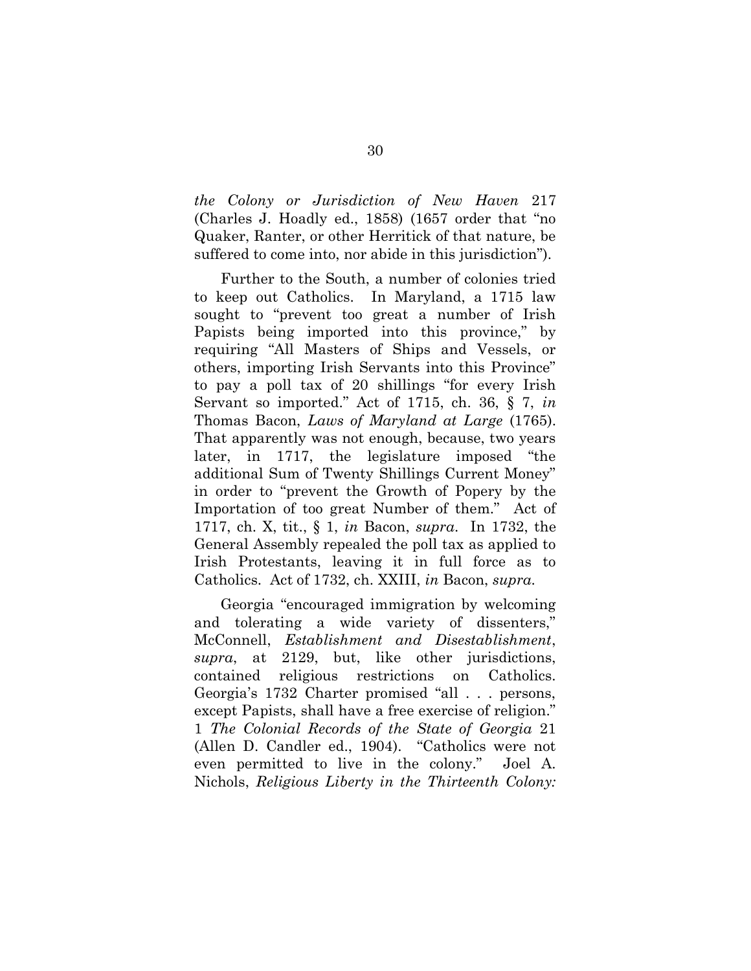the Colony or Jurisdiction of New Haven 217 (Charles J. Hoadly ed., 1858) (1657 order that "no Quaker, Ranter, or other Herritick of that nature, be suffered to come into, nor abide in this jurisdiction").

Further to the South, a number of colonies tried to keep out Catholics. In Maryland, a 1715 law sought to "prevent too great a number of Irish Papists being imported into this province," by requiring "All Masters of Ships and Vessels, or others, importing Irish Servants into this Province" to pay a poll tax of 20 shillings "for every Irish Servant so imported." Act of 1715, ch. 36, § 7, in Thomas Bacon, Laws of Maryland at Large (1765). That apparently was not enough, because, two years later, in 1717, the legislature imposed "the additional Sum of Twenty Shillings Current Money" in order to "prevent the Growth of Popery by the Importation of too great Number of them." Act of 1717, ch. X, tit., § 1, in Bacon, supra. In 1732, the General Assembly repealed the poll tax as applied to Irish Protestants, leaving it in full force as to Catholics. Act of 1732, ch. XXIII, in Bacon, supra.

Georgia "encouraged immigration by welcoming and tolerating a wide variety of dissenters," McConnell, Establishment and Disestablishment, supra, at 2129, but, like other jurisdictions, contained religious restrictions on Catholics. Georgia's 1732 Charter promised "all . . . persons, except Papists, shall have a free exercise of religion." 1 The Colonial Records of the State of Georgia 21 (Allen D. Candler ed., 1904). "Catholics were not even permitted to live in the colony." Joel A. Nichols, Religious Liberty in the Thirteenth Colony: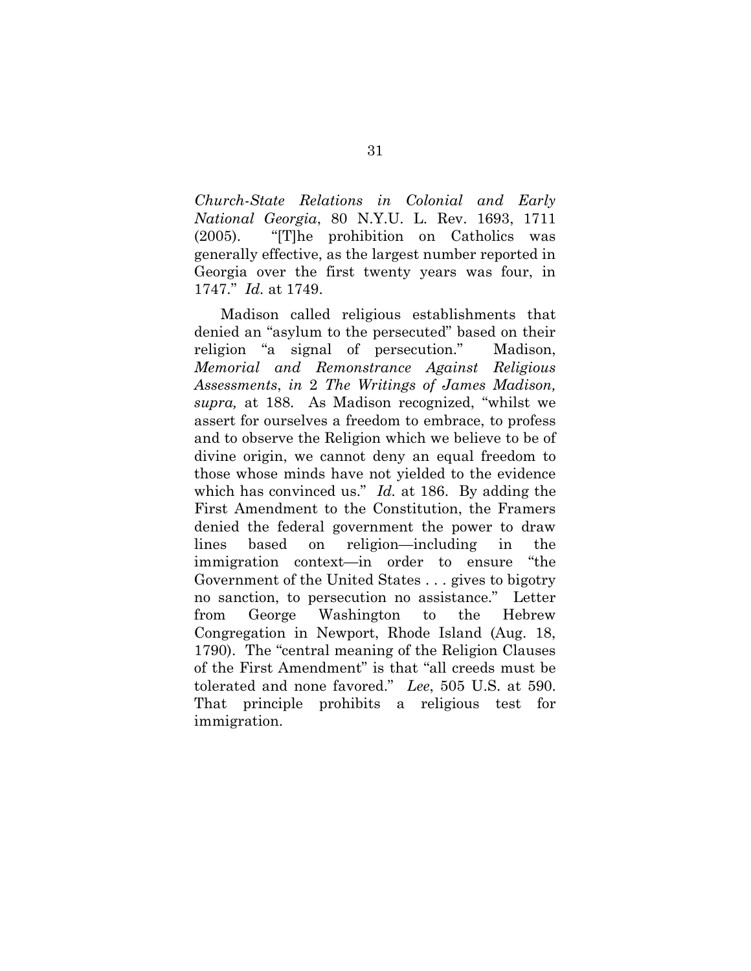Church-State Relations in Colonial and Early National Georgia, 80 N.Y.U. L. Rev. 1693, 1711 (2005). "[T]he prohibition on Catholics was generally effective, as the largest number reported in Georgia over the first twenty years was four, in 1747." Id. at 1749.

Madison called religious establishments that denied an "asylum to the persecuted" based on their religion "a signal of persecution." Madison, Memorial and Remonstrance Against Religious Assessments, in 2 The Writings of James Madison, supra, at 188. As Madison recognized, "whilst we assert for ourselves a freedom to embrace, to profess and to observe the Religion which we believe to be of divine origin, we cannot deny an equal freedom to those whose minds have not yielded to the evidence which has convinced us."  $Id$ . at 186. By adding the First Amendment to the Constitution, the Framers denied the federal government the power to draw lines based on religion—including in the immigration context—in order to ensure "the Government of the United States . . . gives to bigotry no sanction, to persecution no assistance." Letter from George Washington to the Hebrew Congregation in Newport, Rhode Island (Aug. 18, 1790). The "central meaning of the Religion Clauses of the First Amendment" is that "all creeds must be tolerated and none favored." Lee, 505 U.S. at 590. That principle prohibits a religious test for immigration.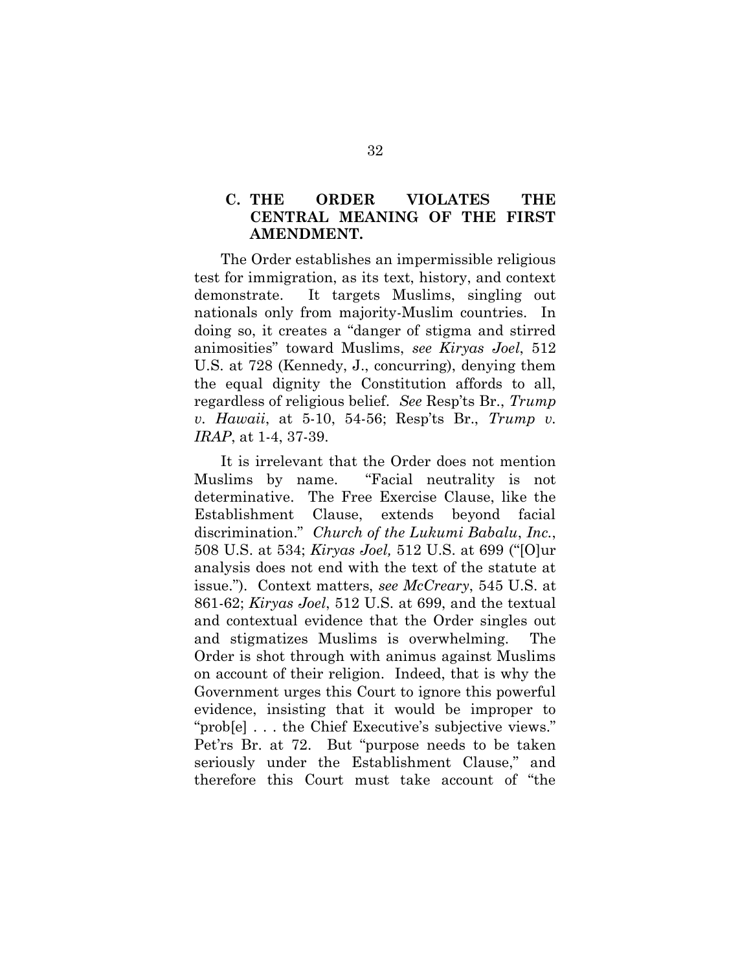#### C. THE ORDER VIOLATES THE CENTRAL MEANING OF THE FIRST AMENDMENT.

The Order establishes an impermissible religious test for immigration, as its text, history, and context demonstrate. It targets Muslims, singling out nationals only from majority-Muslim countries. In doing so, it creates a "danger of stigma and stirred animosities" toward Muslims, see Kiryas Joel, 512 U.S. at 728 (Kennedy, J., concurring), denying them the equal dignity the Constitution affords to all, regardless of religious belief. See Resp'ts Br., Trump v. Hawaii, at 5-10, 54-56; Resp'ts Br., Trump v. IRAP, at 1-4, 37-39.

It is irrelevant that the Order does not mention Muslims by name. "Facial neutrality is not determinative. The Free Exercise Clause, like the Establishment Clause, extends beyond facial discrimination." Church of the Lukumi Babalu, Inc., 508 U.S. at 534; Kiryas Joel, 512 U.S. at 699 ("[O]ur analysis does not end with the text of the statute at issue."). Context matters, see McCreary, 545 U.S. at 861-62; Kiryas Joel, 512 U.S. at 699, and the textual and contextual evidence that the Order singles out and stigmatizes Muslims is overwhelming. The Order is shot through with animus against Muslims on account of their religion. Indeed, that is why the Government urges this Court to ignore this powerful evidence, insisting that it would be improper to "prob[e] . . . the Chief Executive's subjective views." Pet'rs Br. at 72. But "purpose needs to be taken seriously under the Establishment Clause," and therefore this Court must take account of "the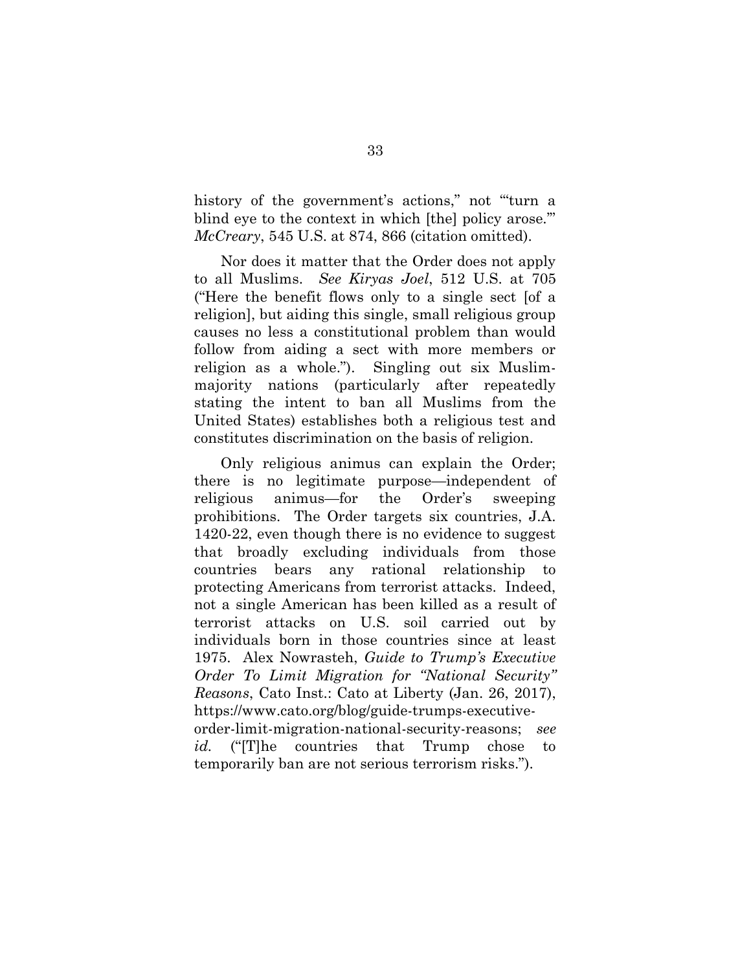history of the government's actions," not "turn a blind eye to the context in which [the] policy arose.'" McCreary, 545 U.S. at 874, 866 (citation omitted).

Nor does it matter that the Order does not apply to all Muslims. See Kiryas Joel, 512 U.S. at 705 ("Here the benefit flows only to a single sect [of a religion], but aiding this single, small religious group causes no less a constitutional problem than would follow from aiding a sect with more members or religion as a whole."). Singling out six Muslimmajority nations (particularly after repeatedly stating the intent to ban all Muslims from the United States) establishes both a religious test and constitutes discrimination on the basis of religion.

Only religious animus can explain the Order; there is no legitimate purpose—independent of religious animus—for the Order's sweeping prohibitions. The Order targets six countries, J.A. 1420-22, even though there is no evidence to suggest that broadly excluding individuals from those countries bears any rational relationship to protecting Americans from terrorist attacks. Indeed, not a single American has been killed as a result of terrorist attacks on U.S. soil carried out by individuals born in those countries since at least 1975. Alex Nowrasteh, Guide to Trump's Executive Order To Limit Migration for "National Security" Reasons, Cato Inst.: Cato at Liberty (Jan. 26, 2017), https://www.cato.org/blog/guide-trumps-executiveorder-limit-migration-national-security-reasons; see id. ("The countries that Trump chose to temporarily ban are not serious terrorism risks.").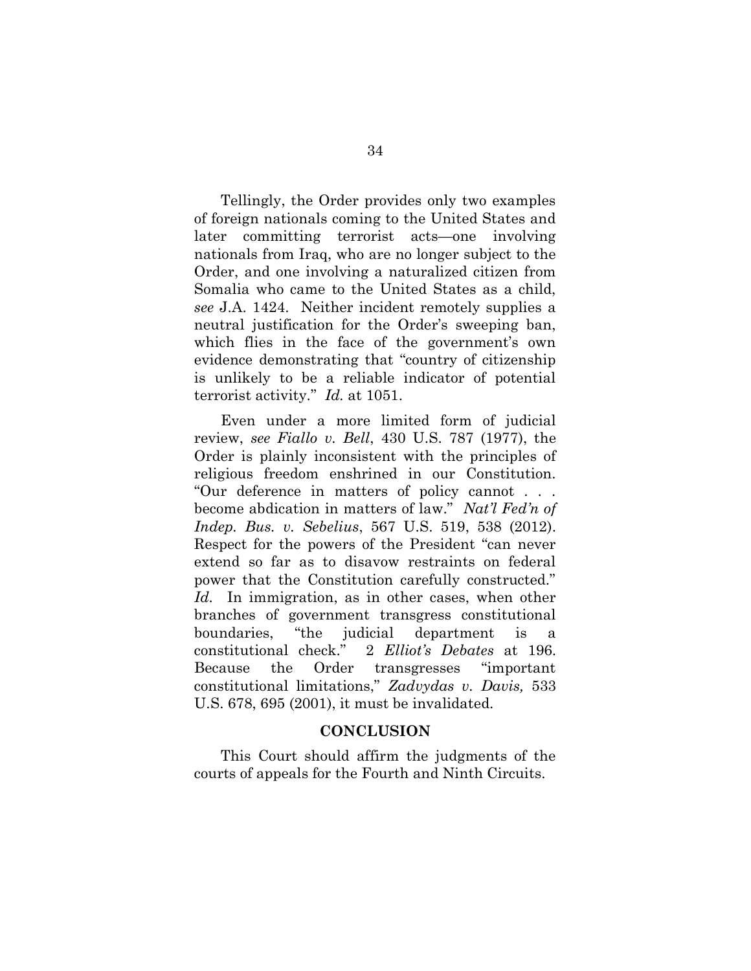Tellingly, the Order provides only two examples of foreign nationals coming to the United States and later committing terrorist acts—one involving nationals from Iraq, who are no longer subject to the Order, and one involving a naturalized citizen from Somalia who came to the United States as a child, see J.A. 1424. Neither incident remotely supplies a neutral justification for the Order's sweeping ban, which flies in the face of the government's own evidence demonstrating that "country of citizenship is unlikely to be a reliable indicator of potential terrorist activity." Id. at 1051.

Even under a more limited form of judicial review, see Fiallo v. Bell, 430 U.S. 787 (1977), the Order is plainly inconsistent with the principles of religious freedom enshrined in our Constitution. "Our deference in matters of policy cannot . . . become abdication in matters of law." Nat'l Fed'n of Indep. Bus. v. Sebelius, 567 U.S. 519, 538 (2012). Respect for the powers of the President "can never extend so far as to disavow restraints on federal power that the Constitution carefully constructed." Id. In immigration, as in other cases, when other branches of government transgress constitutional boundaries, "the judicial department is constitutional check." 2 Elliot's Debates at 196. Because the Order transgresses "important constitutional limitations," Zadvydas v. Davis, 533 U.S. 678, 695 (2001), it must be invalidated.

#### **CONCLUSION**

This Court should affirm the judgments of the courts of appeals for the Fourth and Ninth Circuits.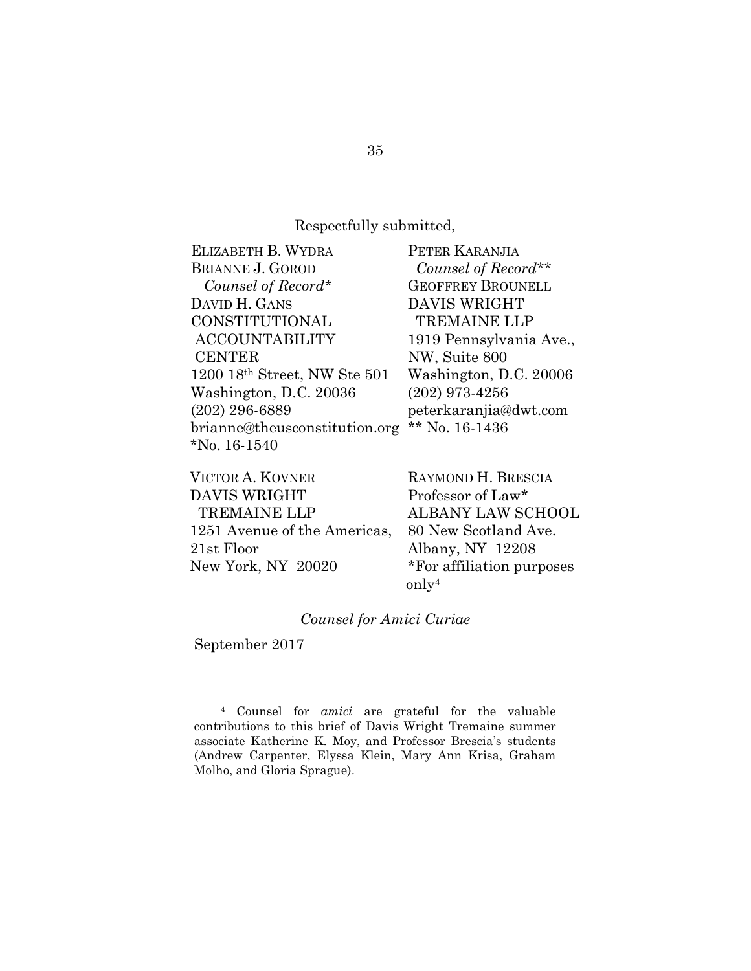# Respectfully submitted,

| ELIZABETH B. WYDRA            | PETER KARANJIA           |
|-------------------------------|--------------------------|
| <b>BRIANNE J. GOROD</b>       | Counsel of Record**      |
| Counsel of Record*            | <b>GEOFFREY BROUNELL</b> |
| DAVID H. GANS                 | <b>DAVIS WRIGHT</b>      |
| CONSTITUTIONAL                | <b>TREMAINE LLP</b>      |
| <b>ACCOUNTABILITY</b>         | 1919 Pennsylvania Ave.,  |
| <b>CENTER</b>                 | NW, Suite 800            |
| 1200 18th Street, NW Ste 501  | Washington, D.C. 20006   |
| Washington, D.C. 20036        | $(202)$ 973-4256         |
| $(202)$ 296-6889              | peterkaranjia@dwt.com    |
| brianne@theusconstitution.org | ** No. $16-1436$         |
| $N_0$ . 16-1540               |                          |

| VICTOR A. KOVNER             | RAYMOND H. BRESCIA        |
|------------------------------|---------------------------|
| DAVIS WRIGHT                 | Professor of Law*         |
| <b>TREMAINE LLP</b>          | ALBANY LAW SCHOOL         |
| 1251 Avenue of the Americas, | 80 New Scotland Ave.      |
| 21st Floor                   | Albany, NY 12208          |
| New York, NY 20020           | *For affiliation purposes |
|                              | $\text{only}^4$           |

# Counsel for Amici Curiae

September 2017

 $\overline{a}$ 

<sup>4</sup> Counsel for amici are grateful for the valuable contributions to this brief of Davis Wright Tremaine summer associate Katherine K. Moy, and Professor Brescia's students (Andrew Carpenter, Elyssa Klein, Mary Ann Krisa, Graham Molho, and Gloria Sprague).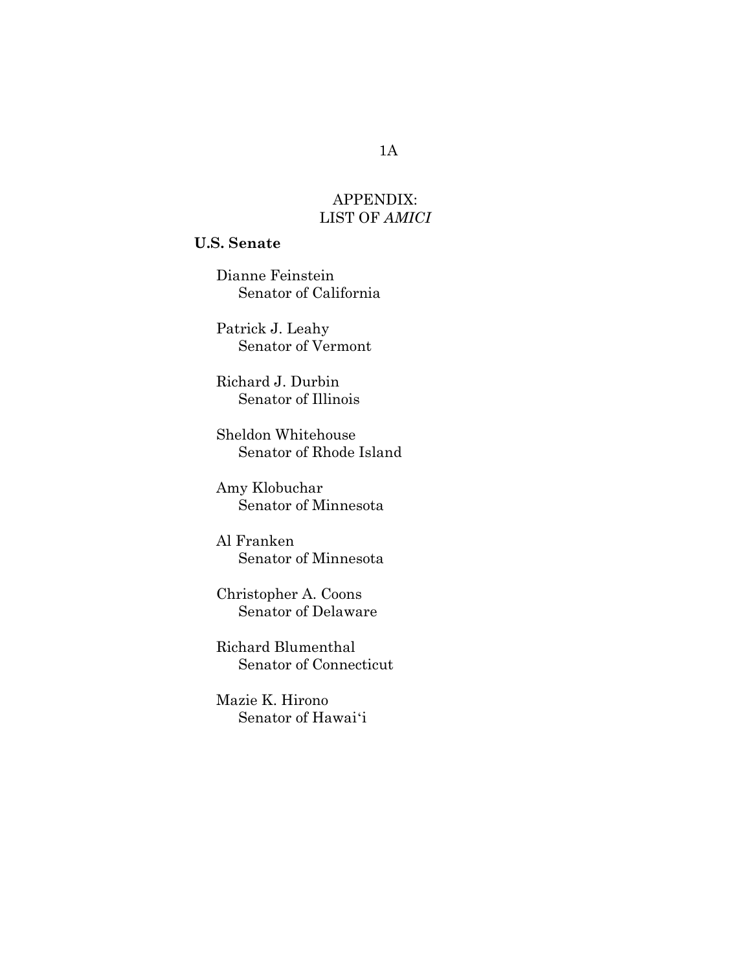# APPENDIX: LIST OF AMICI

# U.S. Senate

Dianne Feinstein Senator of California

Patrick J. Leahy Senator of Vermont

Richard J. Durbin Senator of Illinois

Sheldon Whitehouse Senator of Rhode Island

Amy Klobuchar Senator of Minnesota

Al Franken Senator of Minnesota

Christopher A. Coons Senator of Delaware

Richard Blumenthal Senator of Connecticut

Mazie K. Hirono Senator of Hawaiʻi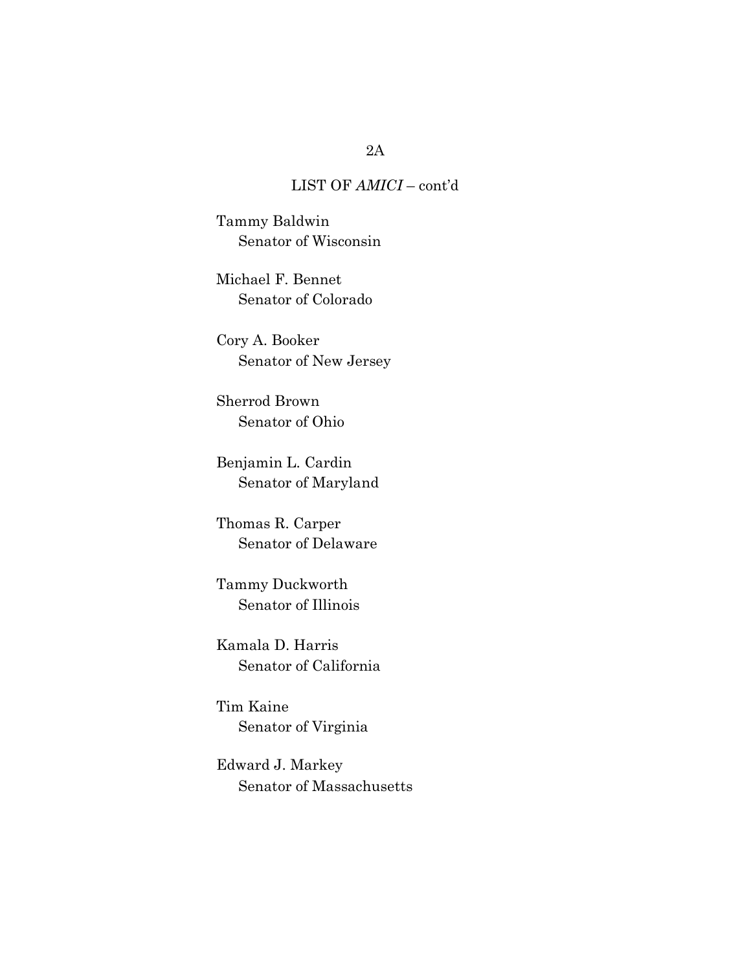Tammy Baldwin Senator of Wisconsin

Michael F. Bennet Senator of Colorado

Cory A. Booker Senator of New Jersey

Sherrod Brown Senator of Ohio

Benjamin L. Cardin Senator of Maryland

Thomas R. Carper Senator of Delaware

Tammy Duckworth Senator of Illinois

Kamala D. Harris Senator of California

Tim Kaine Senator of Virginia

Edward J. Markey Senator of Massachusetts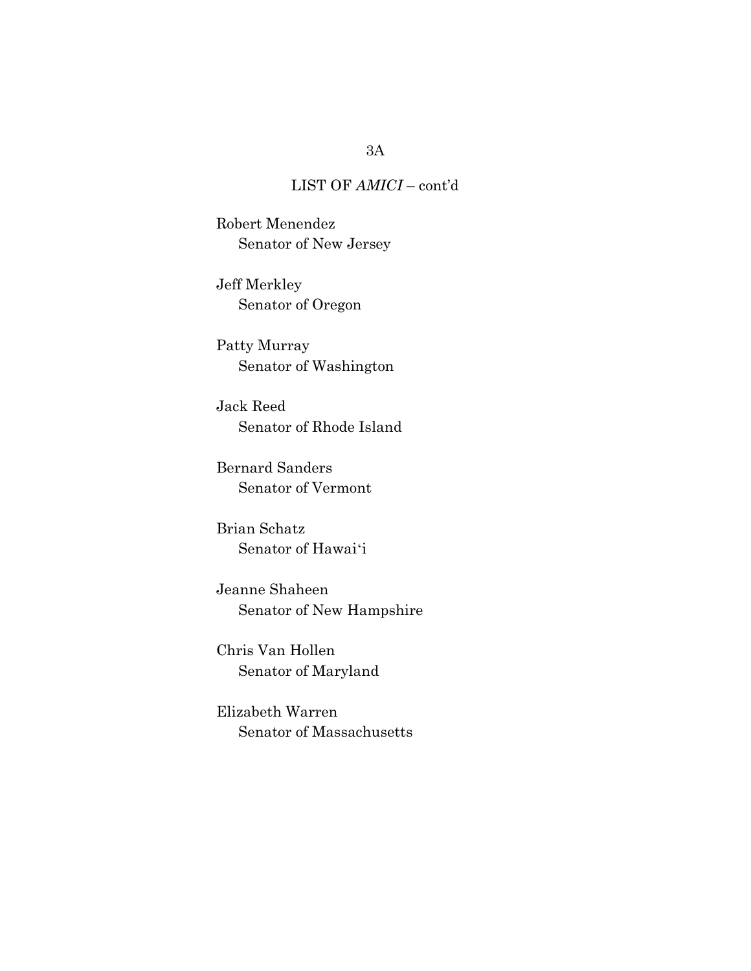Robert Menendez Senator of New Jersey

Jeff Merkley Senator of Oregon

Patty Murray Senator of Washington

Jack Reed Senator of Rhode Island

Bernard Sanders Senator of Vermont

Brian Schatz Senator of Hawai'i

Jeanne Shaheen Senator of New Hampshire

Chris Van Hollen Senator of Maryland

Elizabeth Warren Senator of Massachusetts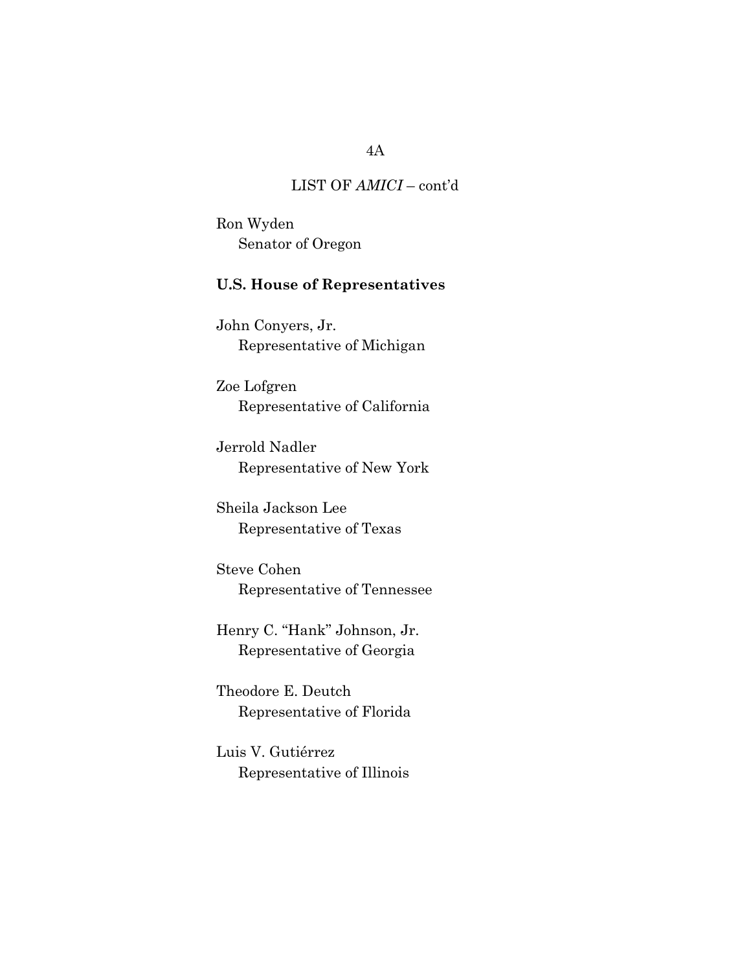Ron Wyden Senator of Oregon

# U.S. House of Representatives

John Conyers, Jr. Representative of Michigan

Zoe Lofgren Representative of California

Jerrold Nadler Representative of New York

Sheila Jackson Lee Representative of Texas

Steve Cohen Representative of Tennessee

Henry C. "Hank" Johnson, Jr. Representative of Georgia

Theodore E. Deutch Representative of Florida

Luis V. Gutiérrez Representative of Illinois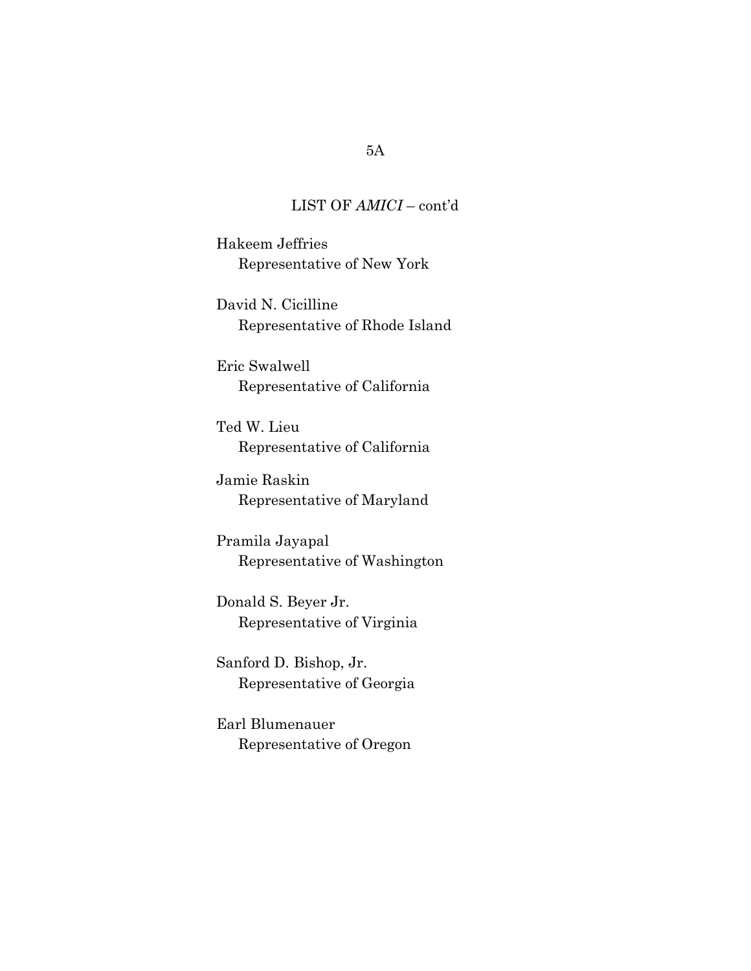Hakeem Jeffries Representative of New York

David N. Cicilline Representative of Rhode Island

Eric Swalwell Representative of California

Ted W. Lieu Representative of California

Jamie Raskin Representative of Maryland

Pramila Jayapal Representative of Washington

Donald S. Beyer Jr. Representative of Virginia

Sanford D. Bishop, Jr. Representative of Georgia

Earl Blumenauer Representative of Oregon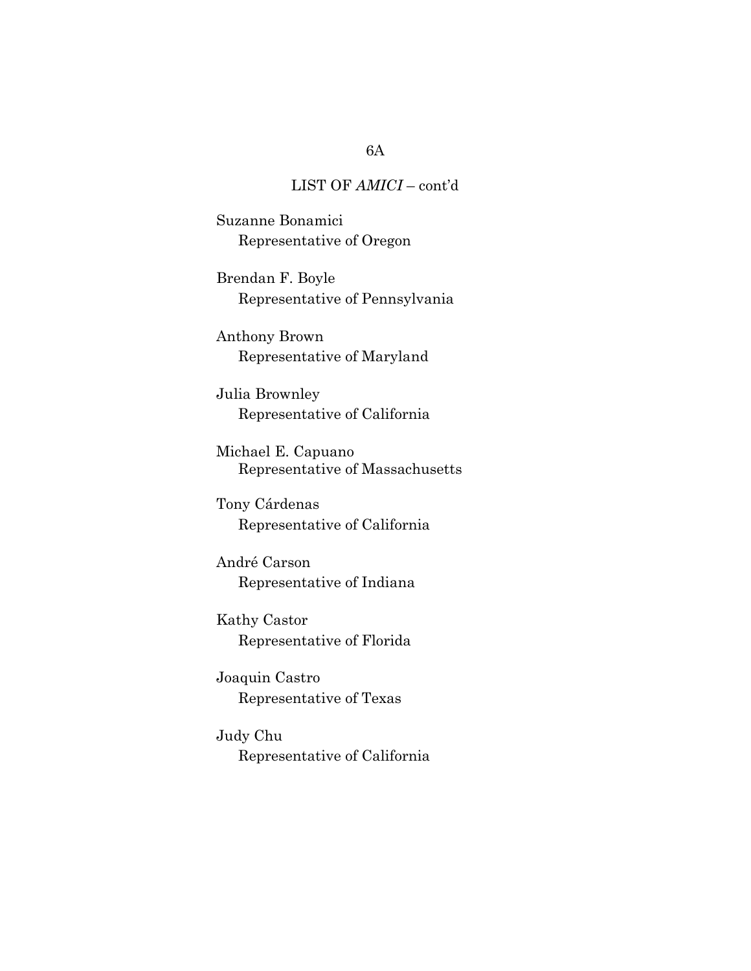Suzanne Bonamici Representative of Oregon

Brendan F. Boyle Representative of Pennsylvania

Anthony Brown Representative of Maryland

Julia Brownley Representative of California

Michael E. Capuano Representative of Massachusetts

Tony Cárdenas Representative of California

André Carson Representative of Indiana

Kathy Castor Representative of Florida

Joaquin Castro Representative of Texas

Judy Chu Representative of California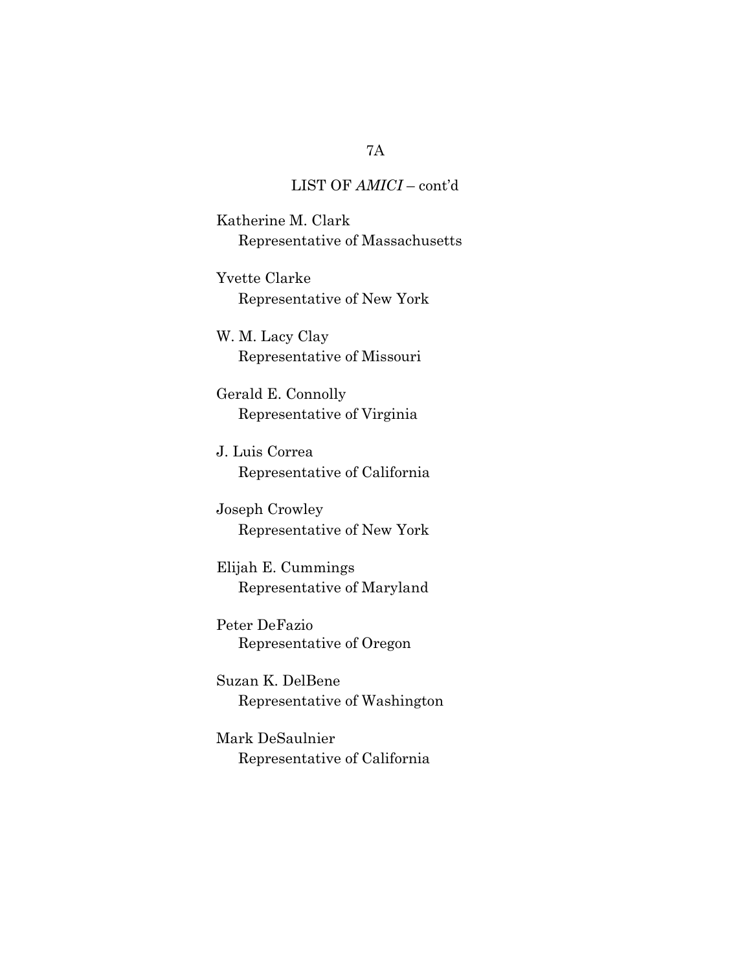Katherine M. Clark Representative of Massachusetts

Yvette Clarke Representative of New York

W. M. Lacy Clay Representative of Missouri

Gerald E. Connolly Representative of Virginia

J. Luis Correa Representative of California

Joseph Crowley Representative of New York

Elijah E. Cummings Representative of Maryland

Peter DeFazio Representative of Oregon

Suzan K. DelBene Representative of Washington

Mark DeSaulnier Representative of California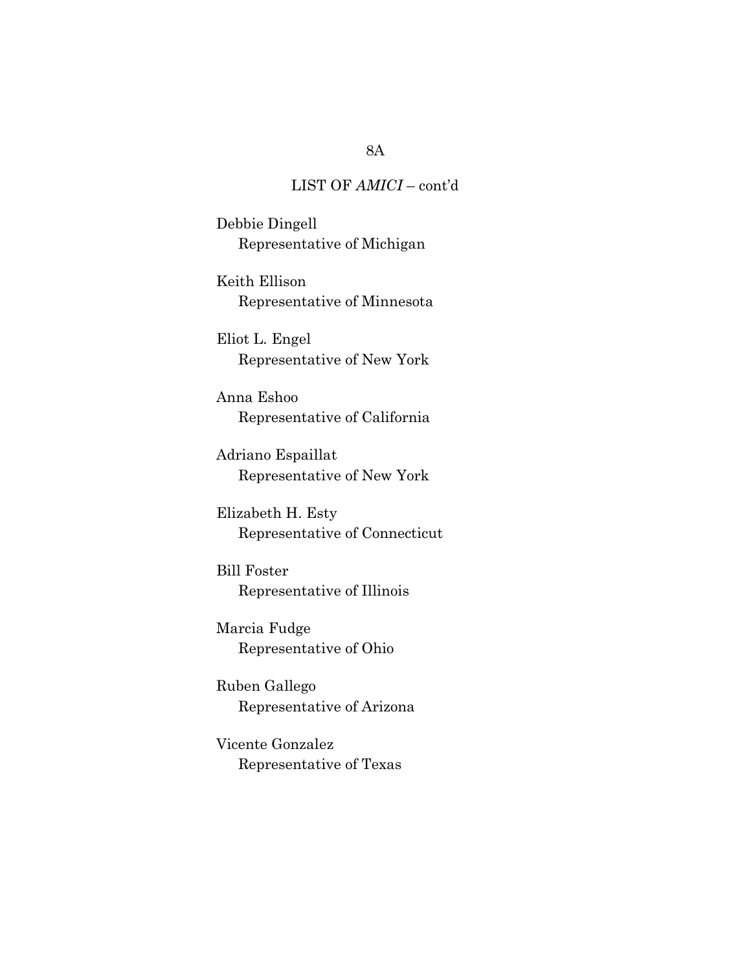Debbie Dingell Representative of Michigan

Keith Ellison Representative of Minnesota

Eliot L. Engel Representative of New York

Anna Eshoo Representative of California

Adriano Espaillat Representative of New York

Elizabeth H. Esty Representative of Connecticut

Bill Foster Representative of Illinois

Marcia Fudge Representative of Ohio

Ruben Gallego Representative of Arizona

Vicente Gonzalez Representative of Texas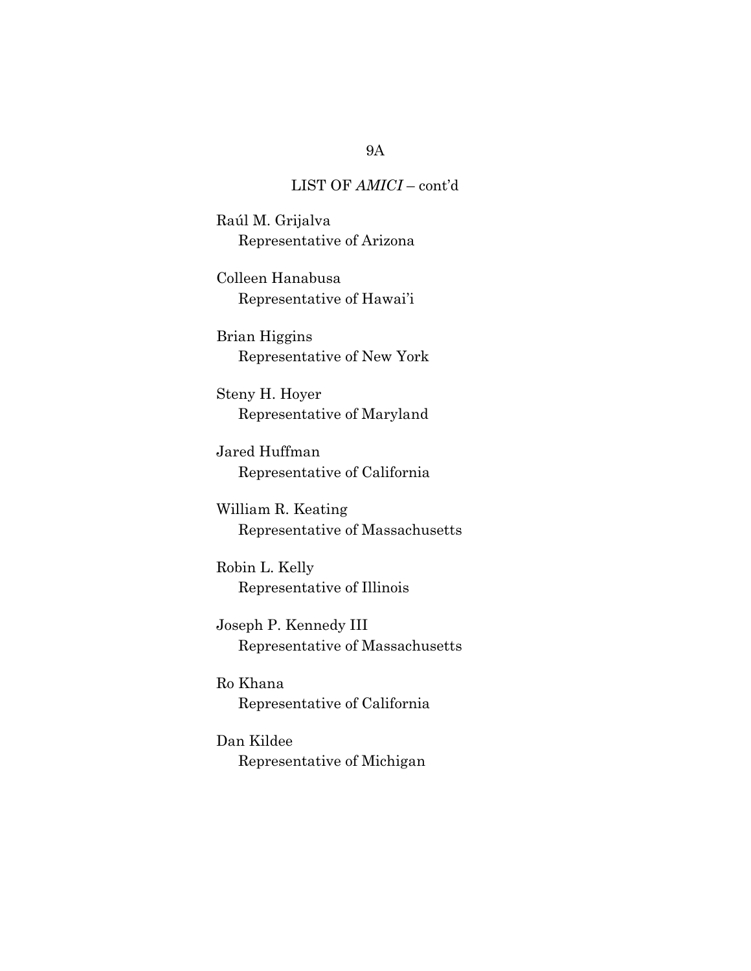Raúl M. Grijalva Representative of Arizona

Colleen Hanabusa Representative of Hawai'i

Brian Higgins Representative of New York

Steny H. Hoyer Representative of Maryland

Jared Huffman Representative of California

William R. Keating Representative of Massachusetts

Robin L. Kelly Representative of Illinois

Joseph P. Kennedy III Representative of Massachusetts

Ro Khana Representative of California

Dan Kildee Representative of Michigan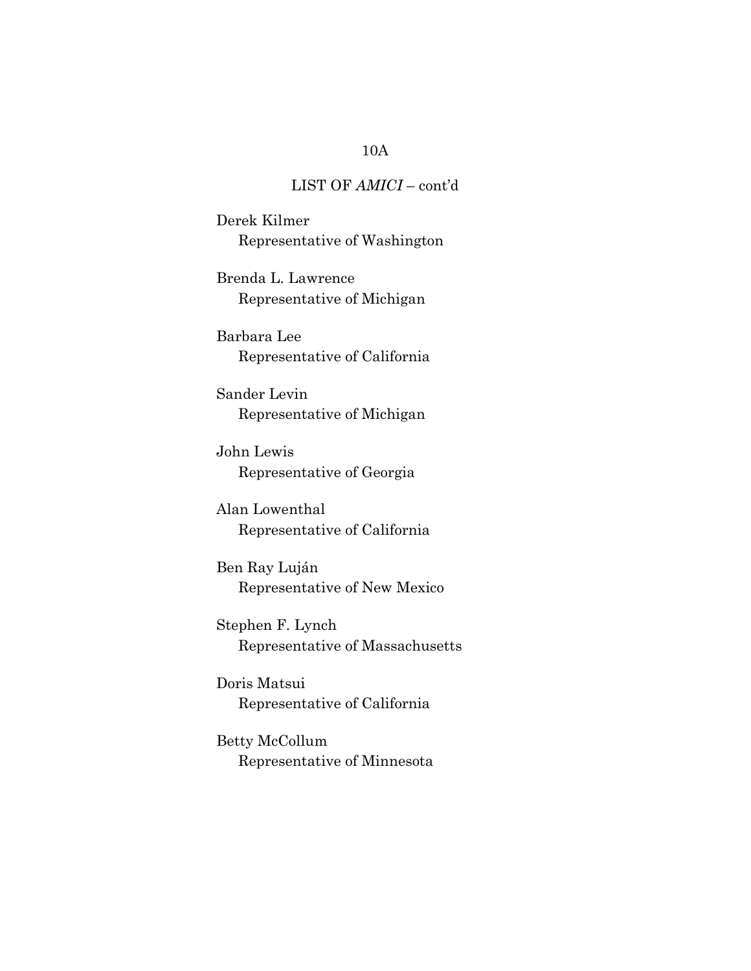# LIST OF AMICI – cont'd

Derek Kilmer Representative of Washington

Brenda L. Lawrence Representative of Michigan

Barbara Lee Representative of California

Sander Levin Representative of Michigan

John Lewis Representative of Georgia

Alan Lowenthal Representative of California

Ben Ray Luján Representative of New Mexico

Stephen F. Lynch Representative of Massachusetts

Doris Matsui Representative of California

Betty McCollum Representative of Minnesota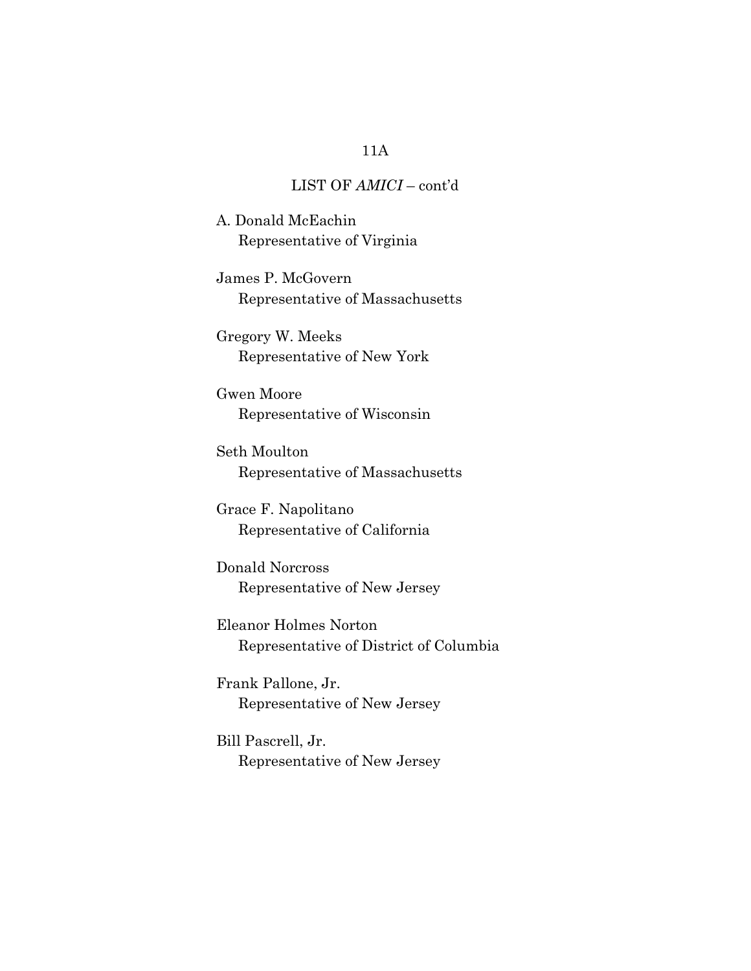# LIST OF AMICI – cont'd

A. Donald McEachin Representative of Virginia

James P. McGovern Representative of Massachusetts

Gregory W. Meeks Representative of New York

Gwen Moore Representative of Wisconsin

Seth Moulton Representative of Massachusetts

Grace F. Napolitano Representative of California

Donald Norcross Representative of New Jersey

Eleanor Holmes Norton Representative of District of Columbia

Frank Pallone, Jr. Representative of New Jersey

Bill Pascrell, Jr. Representative of New Jersey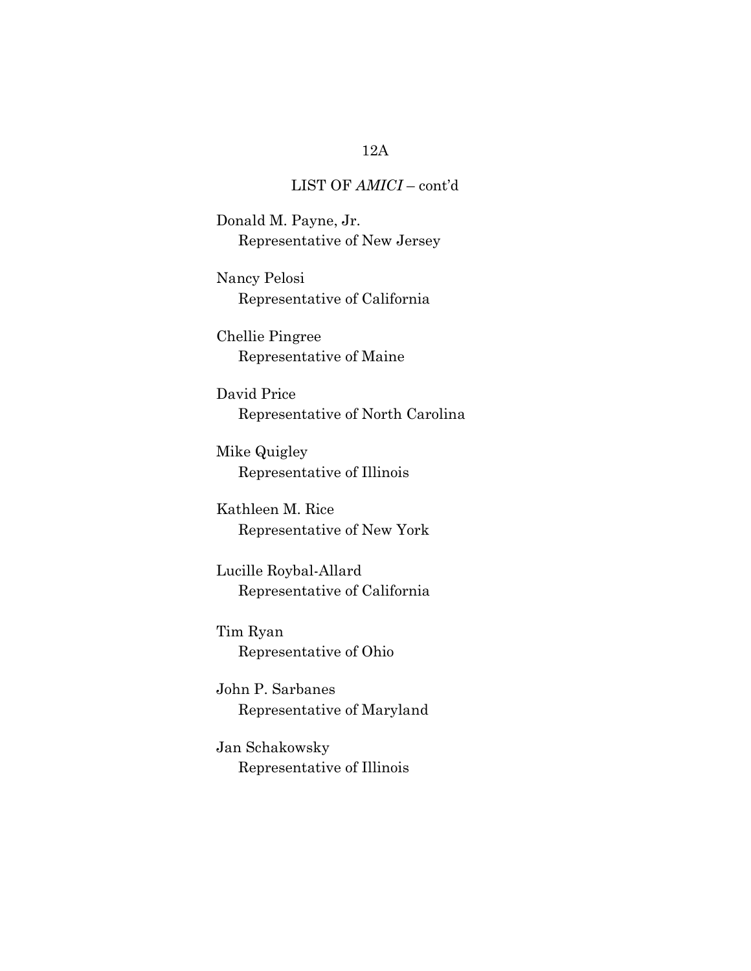# LIST OF AMICI – cont'd

Donald M. Payne, Jr. Representative of New Jersey

Nancy Pelosi Representative of California

Chellie Pingree Representative of Maine

David Price Representative of North Carolina

Mike Quigley Representative of Illinois

Kathleen M. Rice Representative of New York

Lucille Roybal-Allard Representative of California

Tim Ryan Representative of Ohio

John P. Sarbanes Representative of Maryland

Jan Schakowsky Representative of Illinois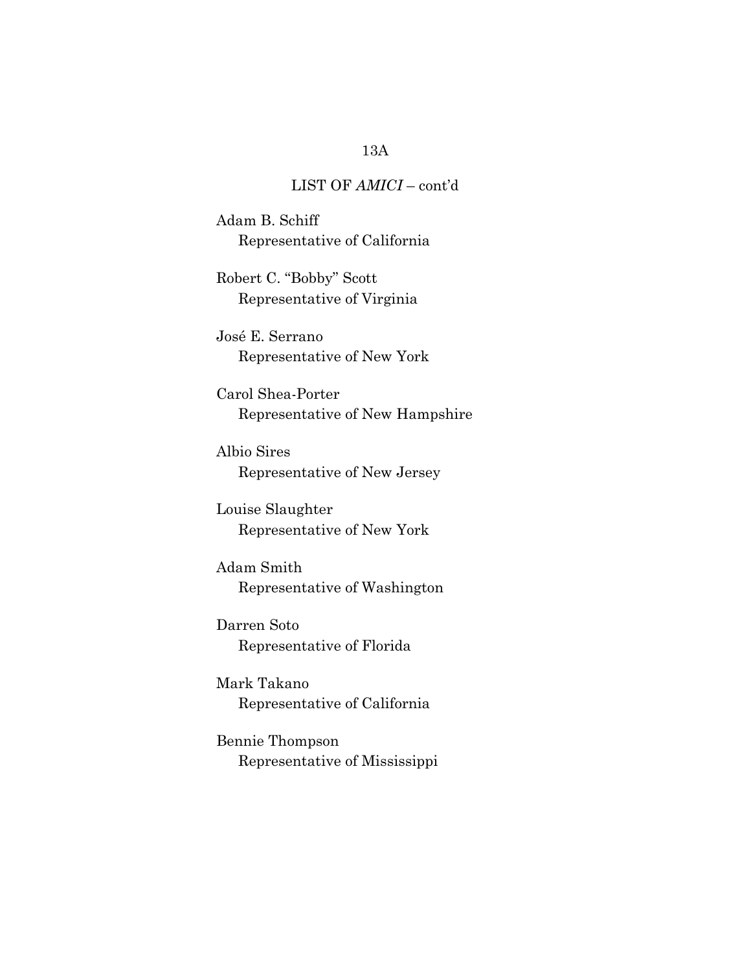# LIST OF AMICI – cont'd

Adam B. Schiff Representative of California

Robert C. "Bobby" Scott Representative of Virginia

José E. Serrano Representative of New York

Carol Shea-Porter Representative of New Hampshire

Albio Sires Representative of New Jersey

Louise Slaughter Representative of New York

Adam Smith Representative of Washington

Darren Soto Representative of Florida

Mark Takano Representative of California

Bennie Thompson Representative of Mississippi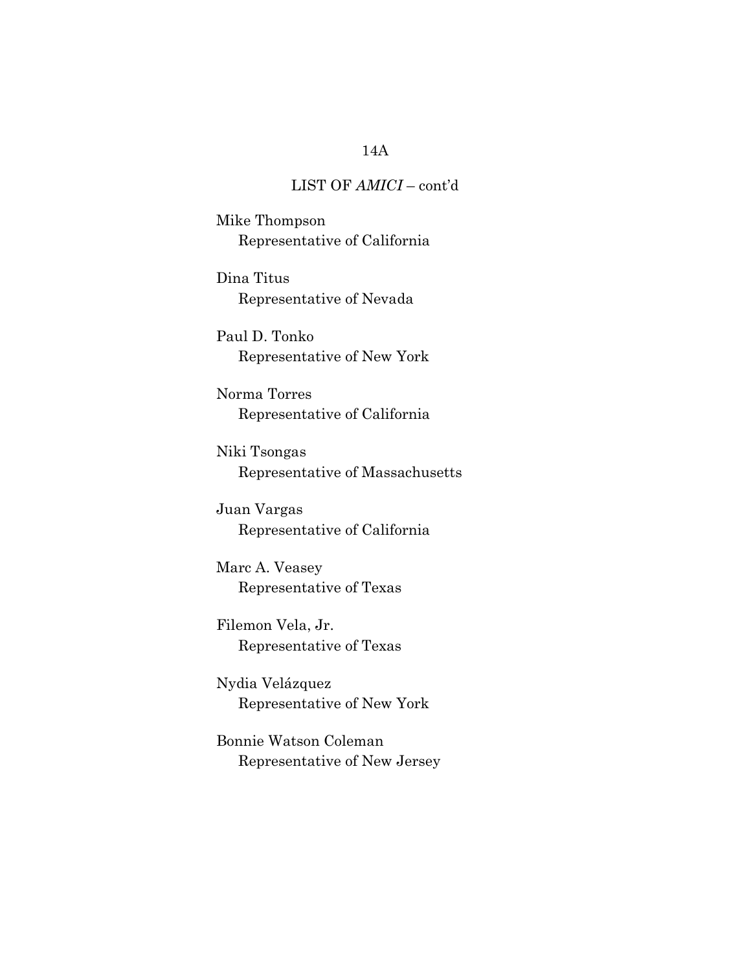# LIST OF AMICI – cont'd

Mike Thompson Representative of California

Dina Titus Representative of Nevada

Paul D. Tonko Representative of New York

Norma Torres Representative of California

Niki Tsongas Representative of Massachusetts

Juan Vargas Representative of California

Marc A. Veasey Representative of Texas

Filemon Vela, Jr. Representative of Texas

Nydia Velázquez Representative of New York

Bonnie Watson Coleman Representative of New Jersey